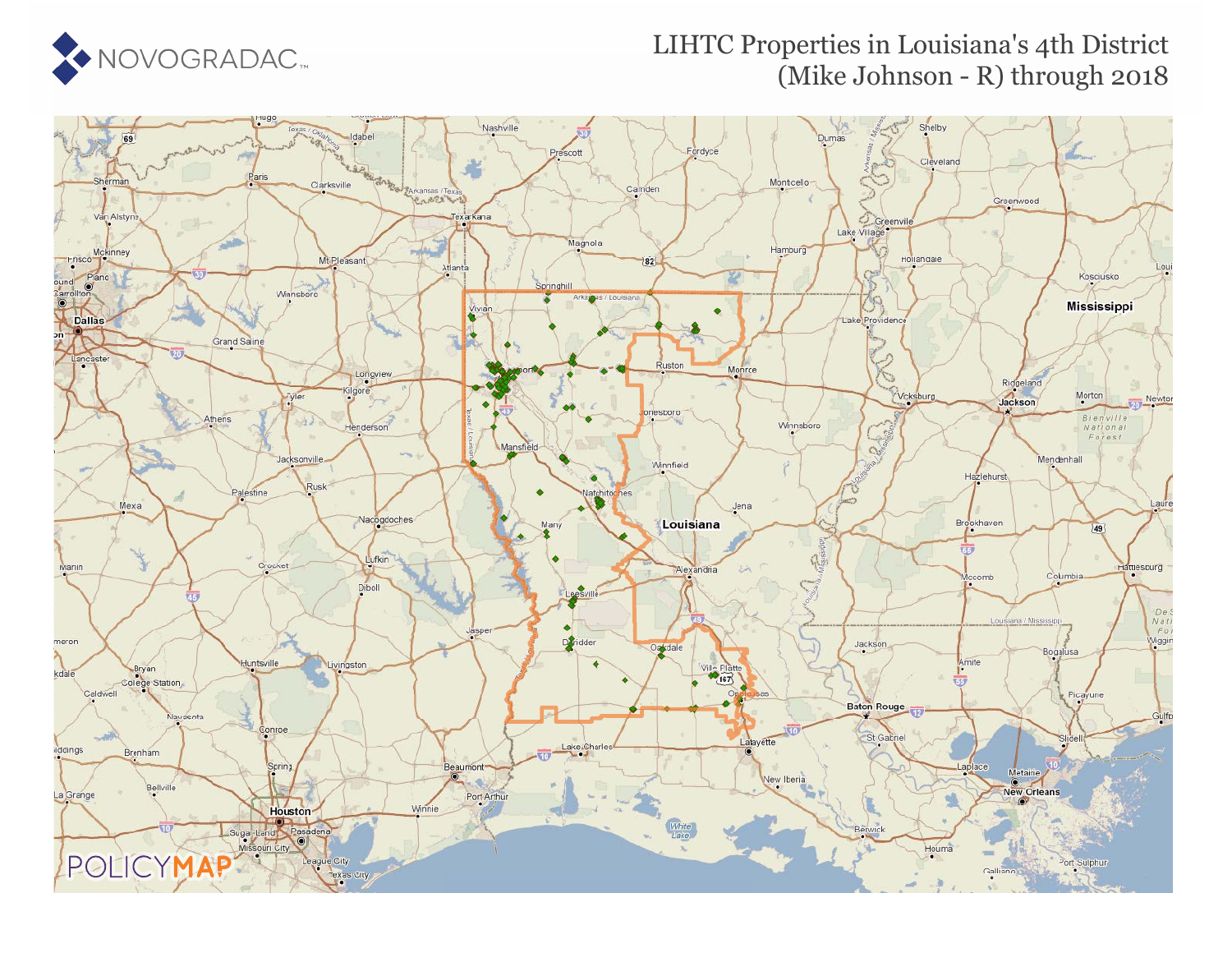

## LIHTC Properties in Louisiana's 4th District (Mike Johnson - R) through 2018

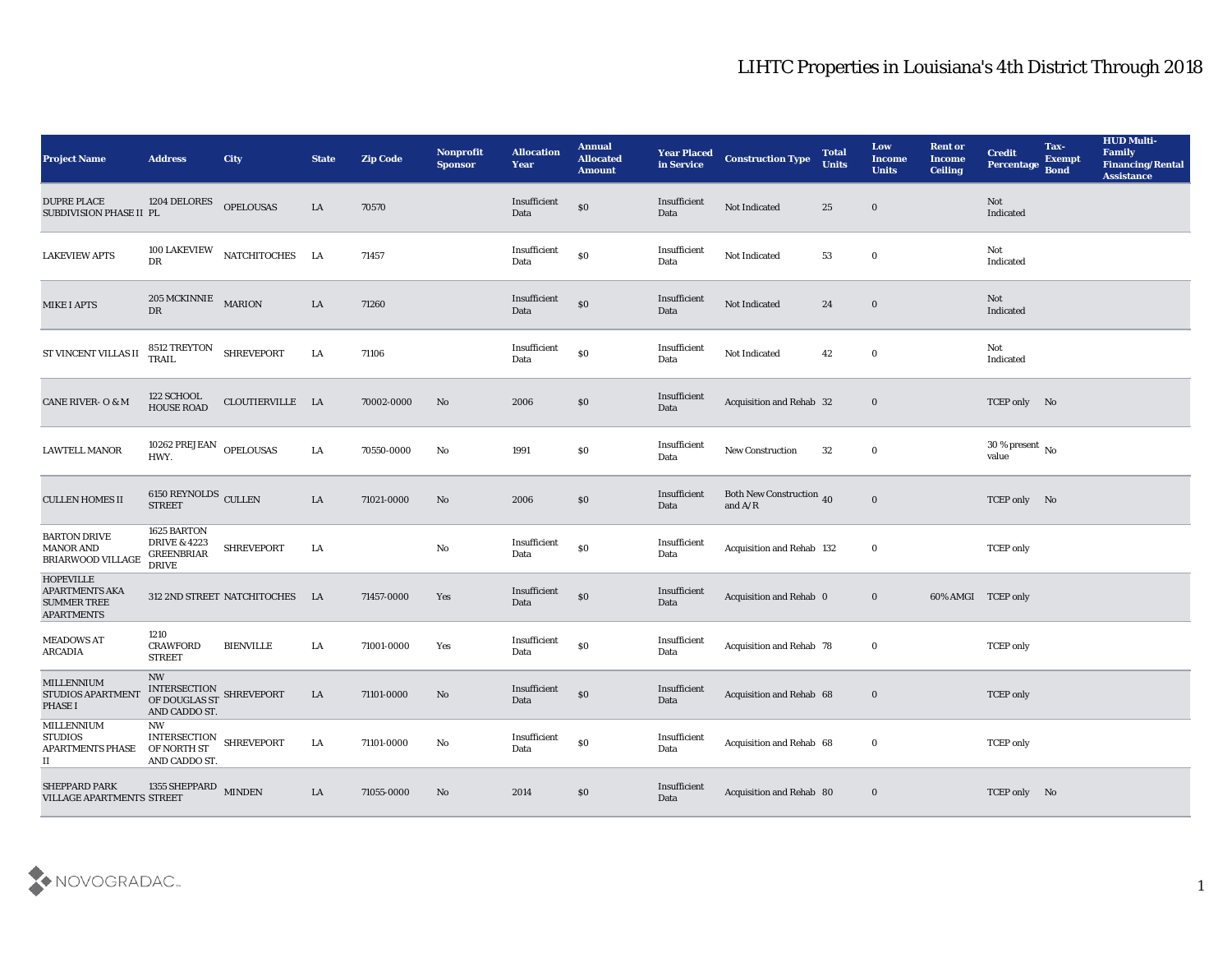| <b>Project Name</b>                                                                                                                                                                     | <b>Address</b>                                                              | <b>City</b>                 | <b>State</b> | <b>Zip Code</b> | Nonprofit<br><b>Sponsor</b> | <b>Allocation</b><br><b>Year</b>             | <b>Annual</b><br><b>Allocated</b><br><b>Amount</b> | <b>Year Placed</b><br>in Service | <b>Construction Type</b>                     | <b>Total</b><br><b>Units</b> | Low<br><b>Income</b><br><b>Units</b> | <b>Rent or</b><br><b>Income</b><br><b>Ceiling</b> | <b>Credit</b><br><b>Percentage</b>     | Tax-<br><b>Exempt</b><br><b>Bond</b> | <b>HUD Multi-</b><br>Family<br><b>Financing/Rental</b><br><b>Assistance</b> |
|-----------------------------------------------------------------------------------------------------------------------------------------------------------------------------------------|-----------------------------------------------------------------------------|-----------------------------|--------------|-----------------|-----------------------------|----------------------------------------------|----------------------------------------------------|----------------------------------|----------------------------------------------|------------------------------|--------------------------------------|---------------------------------------------------|----------------------------------------|--------------------------------------|-----------------------------------------------------------------------------|
| <b>DUPRE PLACE</b><br>SUBDIVISION PHASE II PL                                                                                                                                           | 1204 DELORES                                                                | <b>OPELOUSAS</b>            | LA           | 70570           |                             | Insufficient<br>Data                         | $\$0$                                              | Insufficient<br>Data             | Not Indicated                                | 25                           | $\bf{0}$                             |                                                   | Not<br>Indicated                       |                                      |                                                                             |
| <b>LAKEVIEW APTS</b>                                                                                                                                                                    | 100 LAKEVIEW<br>${\rm D}{\rm R}$                                            | NATCHITOCHES LA             |              | 71457           |                             | Insufficient<br>Data                         | $\$0$                                              | Insufficient<br>Data             | Not Indicated                                | 53                           | $\bf{0}$                             |                                                   | Not<br>Indicated                       |                                      |                                                                             |
| <b>MIKE I APTS</b>                                                                                                                                                                      | 205 MCKINNIE MARION<br>DR                                                   |                             | LA           | 71260           |                             | Insufficient<br>Data                         | \$0                                                | Insufficient<br>Data             | Not Indicated                                | 24                           | $\bf{0}$                             |                                                   | Not<br>Indicated                       |                                      |                                                                             |
| ST VINCENT VILLAS II                                                                                                                                                                    | 8512 TREYTON<br><b>TRAIL</b>                                                | <b>SHREVEPORT</b>           | LA           | 71106           |                             | Insufficient<br>Data                         | $\$0$                                              | Insufficient<br>Data             | Not Indicated                                | 42                           | $\bf{0}$                             |                                                   | Not<br>Indicated                       |                                      |                                                                             |
| CANE RIVER- O & M                                                                                                                                                                       | 122 SCHOOL<br><b>HOUSE ROAD</b>                                             | CLOUTIERVILLE LA            |              | 70002-0000      | No                          | 2006                                         | \$0                                                | Insufficient<br>Data             | Acquisition and Rehab 32                     |                              | $\bf{0}$                             |                                                   | TCEP only No                           |                                      |                                                                             |
| <b>LAWTELL MANOR</b>                                                                                                                                                                    | 10262 PREJEAN OPELOUSAS<br>HWY.                                             |                             | LA           | 70550-0000      | No                          | 1991                                         | \$0                                                | Insufficient<br>Data             | <b>New Construction</b>                      | 32                           | $\bf{0}$                             |                                                   | 30 % present $\overline{N_0}$<br>value |                                      |                                                                             |
| <b>CULLEN HOMES II</b>                                                                                                                                                                  | $6150$ REYNOLDS $\,$ CULLEN STREET                                          |                             | LA           | 71021-0000      | No                          | 2006                                         | \$0                                                | Insufficient<br>Data             | <b>Both New Construction</b> 40<br>and $A/R$ |                              | $\bf{0}$                             |                                                   | TCEP only No                           |                                      |                                                                             |
| <b>BARTON DRIVE</b><br><b>MANOR AND</b><br>BRIARWOOD VILLAGE                                                                                                                            | 1625 BARTON<br><b>DRIVE &amp; 4223</b><br><b>GREENBRIAR</b><br><b>DRIVE</b> | <b>SHREVEPORT</b>           | LA           |                 | No                          | Insufficient<br>Data                         | $\$0$                                              | Insufficient<br>Data             | Acquisition and Rehab 132                    |                              | $\bf{0}$                             |                                                   | <b>TCEP</b> only                       |                                      |                                                                             |
| <b>HOPEVILLE</b><br><b>APARTMENTS AKA</b><br><b>SUMMER TREE</b><br><b>APARTMENTS</b>                                                                                                    |                                                                             | 312 2ND STREET NATCHITOCHES | LA           | 71457-0000      | Yes                         | Insufficient<br>Data                         | \$0                                                | Insufficient<br>Data             | Acquisition and Rehab 0                      |                              | $\bf{0}$                             | 60% AMGI TCEP only                                |                                        |                                      |                                                                             |
| <b>MEADOWS AT</b><br><b>ARCADIA</b>                                                                                                                                                     | 1210<br><b>CRAWFORD</b><br><b>STREET</b>                                    | <b>BIENVILLE</b>            | LA           | 71001-0000      | Yes                         | Insufficient<br>Data                         | $\$0$                                              | Insufficient<br>Data             | Acquisition and Rehab 78                     |                              | $\bf{0}$                             |                                                   | <b>TCEP</b> only                       |                                      |                                                                             |
| <b>MILLENNIUM</b><br>STUDIOS APARTMENT<br>PHASE I                                                                                                                                       | <b>NW</b><br>INTERSECTION SHREVEPORT OF DOUGLAS ST<br>AND CADDO ST.         |                             | LA           | 71101-0000      | No                          | Insufficient<br>Data                         | \$0                                                | Insufficient<br>Data             | Acquisition and Rehab 68                     |                              | $\bf{0}$                             |                                                   | <b>TCEP</b> only                       |                                      |                                                                             |
| MILLENNIUM<br><b>STUDIOS</b><br>APARTMENTS PHASE<br>П                                                                                                                                   | NW<br>INTERSECTION SHREVEPORT OF NORTH ST<br>AND CADDO ST.                  |                             | LA           | 71101-0000      | $\mathbf{N}\mathbf{o}$      | $\label{eq:invariant} In sufficient$<br>Data | $\$0$                                              | Insufficient<br>Data             | Acquisition and Rehab 68                     |                              | $\bf{0}$                             |                                                   | <b>TCEP</b> only                       |                                      |                                                                             |
| $\begin{tabular}{ll} \bf SHEPPARD \bf \textit{PARK} & \tt 1355 \bf \textit{SHEPPARD} & \tt MINDEN \\ \bf VILLAGE \bf \textit{APARTMENTS} \bf \textit{STREF} & \tt MINDEN \end{tabular}$ |                                                                             |                             | LA           | 71055-0000      | No                          | 2014                                         | \$0                                                | Insufficient<br>Data             | Acquisition and Rehab 80                     |                              | $\bf{0}$                             |                                                   | TCEP only No                           |                                      |                                                                             |

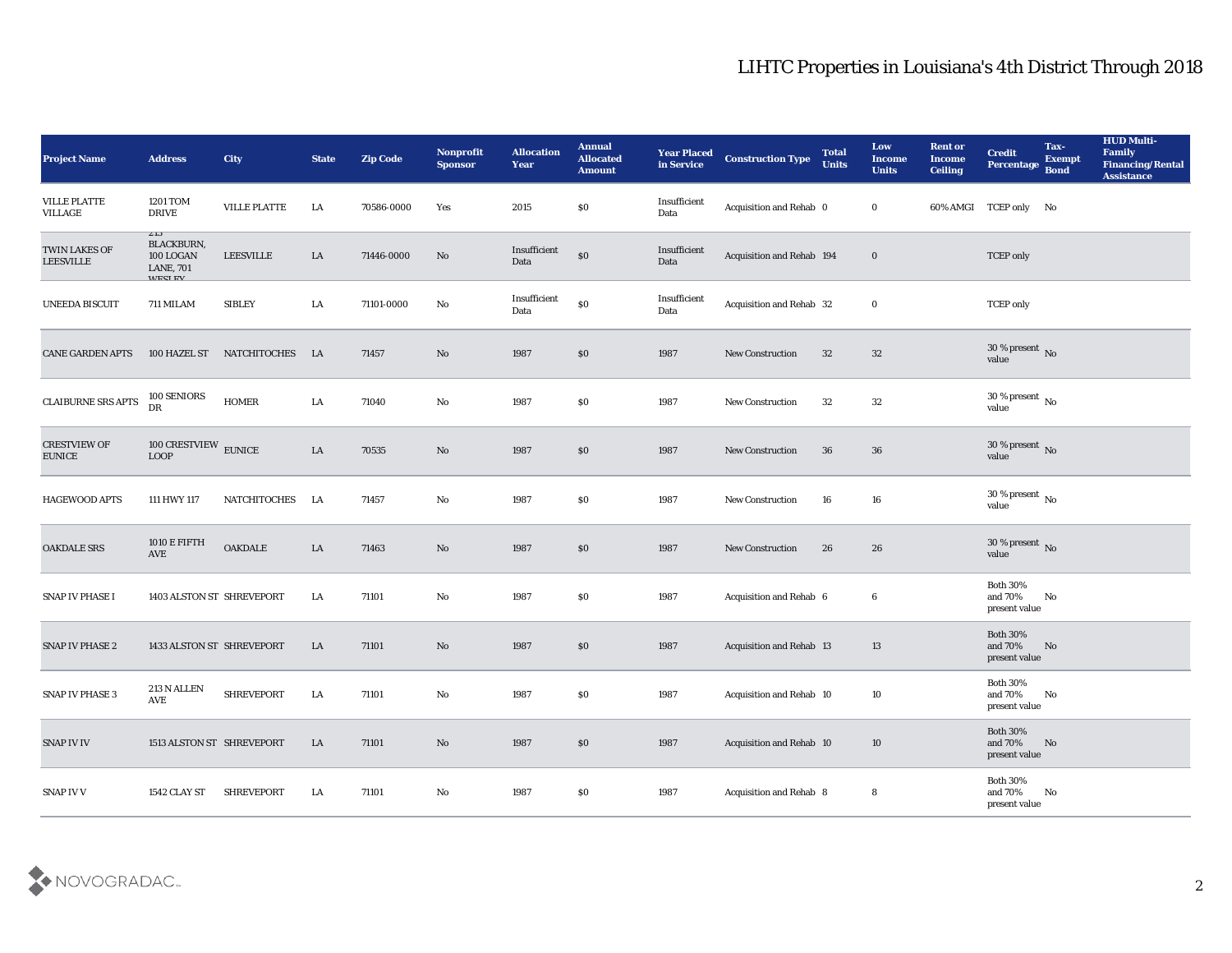| Project Name                         | <b>Address</b>                                                                              | <b>City</b>         | <b>State</b> | <b>Zip Code</b> | Nonprofit<br><b>Sponsor</b> | <b>Allocation</b><br><b>Year</b> | <b>Annual</b><br><b>Allocated</b><br><b>Amount</b> | <b>Year Placed</b><br>in Service | <b>Construction Type</b>        | <b>Total</b><br><b>Units</b> | Low<br><b>Income</b><br><b>Units</b> | <b>Rent or</b><br><b>Income</b><br><b>Ceiling</b> | <b>Credit</b><br>Percentage                    | Tax-<br><b>Exempt</b><br><b>Bond</b> | <b>HUD Multi-</b><br>Family<br><b>Financing/Rental</b><br><b>Assistance</b> |
|--------------------------------------|---------------------------------------------------------------------------------------------|---------------------|--------------|-----------------|-----------------------------|----------------------------------|----------------------------------------------------|----------------------------------|---------------------------------|------------------------------|--------------------------------------|---------------------------------------------------|------------------------------------------------|--------------------------------------|-----------------------------------------------------------------------------|
| <b>VILLE PLATTE</b><br>VILLAGE       | 1201 TOM<br><b>DRIVE</b>                                                                    | VILLE PLATTE        | LA           | 70586-0000      | Yes                         | 2015                             | \$0                                                | Insufficient<br>Data             | Acquisition and Rehab 0         |                              | $\bf{0}$                             |                                                   | 60% AMGI TCEP only No                          |                                      |                                                                             |
| TWIN LAKES OF<br><b>LEESVILLE</b>    | $\mathcal{L}$ 13<br><b>BLACKBURN,</b><br>$100\,$ LOGAN<br><b>LANE, 701</b><br><b>WESTEV</b> | <b>LEESVILLE</b>    | LA           | 71446-0000      | No                          | Insufficient<br>Data             | $\$0$                                              | Insufficient<br>Data             | Acquisition and Rehab 194       |                              | $\bf{0}$                             |                                                   | <b>TCEP</b> only                               |                                      |                                                                             |
| <b>UNEEDA BISCUIT</b>                | 711 MILAM                                                                                   | <b>SIBLEY</b>       | LA           | 71101-0000      | No                          | Insufficient<br>Data             | $\$0$                                              | Insufficient<br>Data             | Acquisition and Rehab 32        |                              | $\bf{0}$                             |                                                   | <b>TCEP</b> only                               |                                      |                                                                             |
| <b>CANE GARDEN APTS</b>              | 100 HAZEL ST                                                                                | <b>NATCHITOCHES</b> | - LA         | 71457           | No                          | 1987                             | \$0                                                | 1987                             | <b>New Construction</b>         | 32                           | 32                                   |                                                   | $30\,\%$ present $\,$ No value                 |                                      |                                                                             |
| <b>CLAIBURNE SRS APTS</b>            | 100 SENIORS<br>DR                                                                           | <b>HOMER</b>        | LA           | 71040           | No                          | 1987                             | \$0                                                | 1987                             | <b>New Construction</b>         | 32                           | 32                                   |                                                   | 30 % present $\,$ No $\,$<br>value             |                                      |                                                                             |
| <b>CRESTVIEW OF</b><br><b>EUNICE</b> | 100 CRESTVIEW EUNICE<br><b>LOOP</b>                                                         |                     | LA           | 70535           | No                          | 1987                             | \$0                                                | 1987                             | <b>New Construction</b>         | 36                           | 36                                   |                                                   | $30\,\%$ present $\,$ No value                 |                                      |                                                                             |
| <b>HAGEWOOD APTS</b>                 | 111 HWY 117                                                                                 | NATCHITOCHES        | - LA         | 71457           | No                          | 1987                             | \$0                                                | 1987                             | <b>New Construction</b>         | 16                           | 16                                   |                                                   | $30\,\%$ present $\,$ No $\,$<br>value         |                                      |                                                                             |
| <b>OAKDALE SRS</b>                   | 1010 E FIFTH<br><b>AVE</b>                                                                  | OAKDALE             | LA           | 71463           | No                          | 1987                             | \$0                                                | 1987                             | <b>New Construction</b>         | 26                           | 26                                   |                                                   | $30\,\%$ present $\,$ No value                 |                                      |                                                                             |
| SNAP IV PHASE I                      | 1403 ALSTON ST SHREVEPORT                                                                   |                     | LA           | 71101           | No                          | 1987                             | \$0                                                | 1987                             | Acquisition and Rehab 6         |                              | 6                                    |                                                   | <b>Both 30%</b><br>and 70%<br>present value    | No                                   |                                                                             |
| <b>SNAP IV PHASE 2</b>               | 1433 ALSTON ST SHREVEPORT                                                                   |                     | LA           | 71101           | No                          | 1987                             | \$0                                                | 1987                             | <b>Acquisition and Rehab 13</b> |                              | 13                                   |                                                   | <b>Both 30%</b><br>and 70%<br>present value    | No                                   |                                                                             |
| SNAP IV PHASE 3                      | 213 N ALLEN<br>AVE                                                                          | <b>SHREVEPORT</b>   | LA           | 71101           | No                          | 1987                             | \$0                                                | 1987                             | Acquisition and Rehab 10        |                              | 10                                   |                                                   | <b>Both 30%</b><br>and 70%<br>present value    | No                                   |                                                                             |
| SNAP IV IV                           | 1513 ALSTON ST SHREVEPORT                                                                   |                     | LA           | 71101           | $\rm\, No$                  | 1987                             | $\$0$                                              | 1987                             | Acquisition and Rehab 10        |                              | 10                                   |                                                   | <b>Both 30%</b><br>and $70\%$<br>present value | No                                   |                                                                             |
| SNAP IV V                            | 1542 CLAY ST                                                                                | <b>SHREVEPORT</b>   | LA           | 71101           | $\mathbf {No}$              | 1987                             | $\$0$                                              | 1987                             | Acquisition and Rehab 8         |                              | 8                                    |                                                   | Both $30\%$<br>and $70\%$<br>present value     | $\mathbf{N}\mathbf{o}$               |                                                                             |

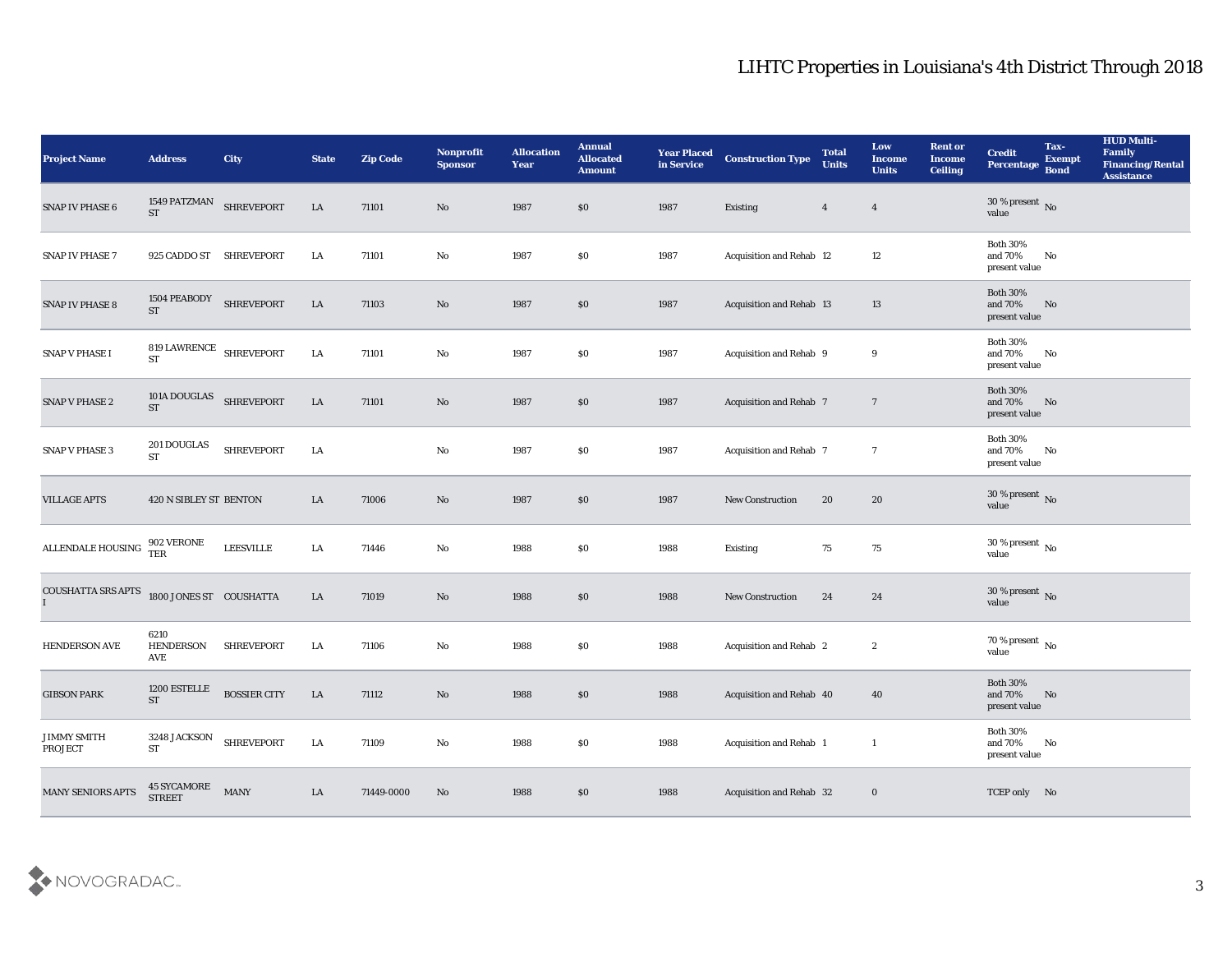| <b>Project Name</b>                 | <b>Address</b>                       | City                | <b>State</b> | <b>Zip Code</b> | Nonprofit<br><b>Sponsor</b> | <b>Allocation</b><br><b>Year</b> | <b>Annual</b><br><b>Allocated</b><br><b>Amount</b> | <b>Year Placed</b><br>in Service | <b>Construction Type</b> | <b>Total</b><br><b>Units</b> | Low<br><b>Income</b><br><b>Units</b> | <b>Rent or</b><br><b>Income</b><br><b>Ceiling</b> | <b>Credit</b><br>Percentage                 | Tax-<br><b>Exempt</b><br><b>Bond</b> | <b>HUD Multi-</b><br>Family<br><b>Financing/Rental</b><br><b>Assistance</b> |
|-------------------------------------|--------------------------------------|---------------------|--------------|-----------------|-----------------------------|----------------------------------|----------------------------------------------------|----------------------------------|--------------------------|------------------------------|--------------------------------------|---------------------------------------------------|---------------------------------------------|--------------------------------------|-----------------------------------------------------------------------------|
| SNAP IV PHASE 6                     | 1549 PATZMAN SHREVEPORT<br><b>ST</b> |                     | ${\rm LA}$   | 71101           | No                          | 1987                             | $\$0$                                              | 1987                             | Existing                 | $\overline{4}$               | $\overline{4}$                       |                                                   | 30 % present $\overline{N_0}$<br>value      |                                      |                                                                             |
| <b>SNAP IV PHASE 7</b>              | 925 CADDO ST SHREVEPORT              |                     | LA           | 71101           | No                          | 1987                             | \$0                                                | 1987                             | Acquisition and Rehab 12 |                              | 12                                   |                                                   | <b>Both 30%</b><br>and 70%<br>present value | No                                   |                                                                             |
| SNAP IV PHASE 8                     | 1504 PEABODY<br><b>ST</b>            | <b>SHREVEPORT</b>   | LA           | 71103           | $\rm\thinspace No$          | 1987                             | \$0                                                | 1987                             | Acquisition and Rehab 13 |                              | 13                                   |                                                   | <b>Both 30%</b><br>and 70%<br>present value | No                                   |                                                                             |
| <b>SNAP V PHASE I</b>               | 819 LAWRENCE SHREVEPORT<br><b>ST</b> |                     | LA           | 71101           | No                          | 1987                             | \$0                                                | 1987                             | Acquisition and Rehab 9  |                              | 9                                    |                                                   | <b>Both 30%</b><br>and 70%<br>present value | No                                   |                                                                             |
| SNAP V PHASE 2                      | 101A DOUGLAS SHREVEPORT<br><b>ST</b> |                     | ${\rm LA}$   | 71101           | $\rm\thinspace No$          | 1987                             | \$0                                                | 1987                             | Acquisition and Rehab 7  |                              | $\overline{7}$                       |                                                   | <b>Both 30%</b><br>and 70%<br>present value | No                                   |                                                                             |
| SNAP V PHASE 3                      | 201 DOUGLAS<br>$\operatorname{ST}$   | <b>SHREVEPORT</b>   | LA           |                 | No                          | 1987                             | \$0                                                | 1987                             | Acquisition and Rehab 7  |                              | $\tau$                               |                                                   | <b>Both 30%</b><br>and 70%<br>present value | No                                   |                                                                             |
| <b>VILLAGE APTS</b>                 | 420 N SIBLEY ST BENTON               |                     | LA           | 71006           | No                          | 1987                             | $\$0$                                              | 1987                             | New Construction         | 20                           | 20                                   |                                                   | $30\,\%$ present $\,$ No value              |                                      |                                                                             |
| ALLENDALE HOUSING $\frac{502}{TER}$ | 902 VERONE                           | <b>LEESVILLE</b>    | LA           | 71446           | $\mathbf {No}$              | 1988                             | \$0                                                | 1988                             | Existing                 | 75                           | 75                                   |                                                   | 30 % present $\,$ No $\,$<br>value          |                                      |                                                                             |
| COUSHATTA SRS APTS                  | 1800 JONES ST COUSHATTA              |                     | LA           | 71019           | No                          | 1988                             | \$0                                                | 1988                             | New Construction         | 24                           | 24                                   |                                                   | $30\,\%$ present $\,$ No value              |                                      |                                                                             |
| <b>HENDERSON AVE</b>                | 6210<br><b>HENDERSON</b><br>AVE      | <b>SHREVEPORT</b>   | LA           | 71106           | No                          | 1988                             | \$0                                                | 1988                             | Acquisition and Rehab 2  |                              | $\boldsymbol{2}$                     |                                                   | $70\,\%$ present $\,$ No value              |                                      |                                                                             |
| <b>GIBSON PARK</b>                  | 1200 ESTELLE<br><b>ST</b>            | <b>BOSSIER CITY</b> | LA           | 71112           | No                          | 1988                             | \$0                                                | 1988                             | Acquisition and Rehab 40 |                              | 40                                   |                                                   | <b>Both 30%</b><br>and 70%<br>present value | No                                   |                                                                             |
| <b>JIMMY SMITH</b><br>PROJECT       | 3248 JACKSON<br><b>ST</b>            | <b>SHREVEPORT</b>   | $\rm LA$     | 71109           | $\mathbf {No}$              | 1988                             | $\$0$                                              | 1988                             | Acquisition and Rehab 1  |                              | $\overline{1}$                       |                                                   | <b>Both 30%</b><br>and 70%<br>present value | $\mathbf{N}\mathbf{o}$               |                                                                             |
| MANY SENIORS APTS                   | 45 SYCAMORE<br>STREET                | <b>MANY</b>         | ${\rm LA}$   | 71449-0000      | $\mathbf{N}\mathbf{o}$      | 1988                             | $\$0$                                              | 1988                             | Acquisition and Rehab 32 |                              | $\boldsymbol{0}$                     |                                                   | TCEP only No                                |                                      |                                                                             |

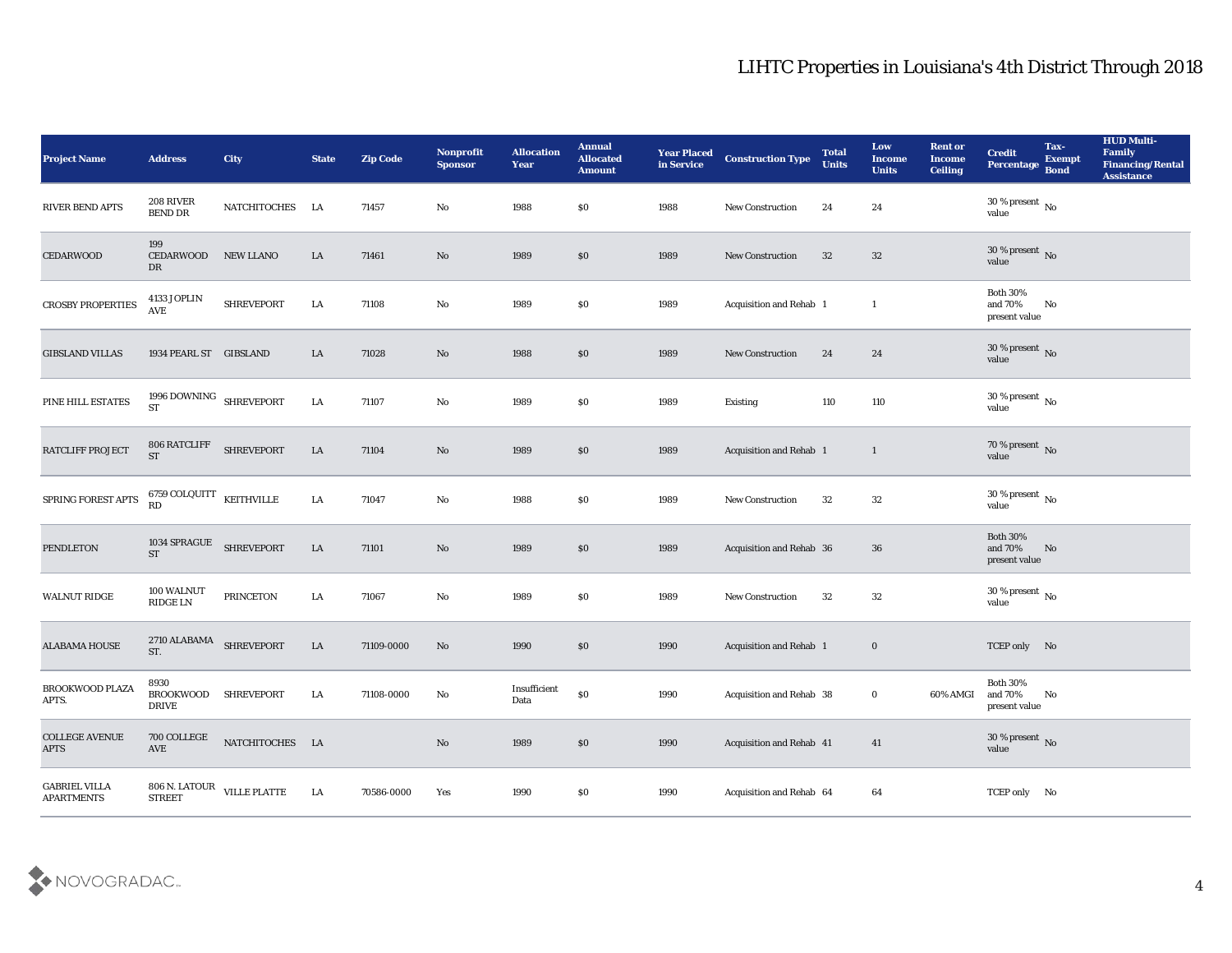| Project Name                              | <b>Address</b>                               | City                                 | <b>State</b> | <b>Zip Code</b> | Nonprofit<br><b>Sponsor</b> | <b>Allocation</b><br><b>Year</b> | <b>Annual</b><br><b>Allocated</b><br><b>Amount</b> | <b>Year Placed</b><br>in Service | <b>Construction Type</b>        | <b>Total</b><br><b>Units</b> | Low<br><b>Income</b><br><b>Units</b> | <b>Rent or</b><br><b>Income</b><br><b>Ceiling</b> | <b>Credit</b><br>Percentage                 | Tax-<br><b>Exempt</b><br><b>Bond</b> | <b>HUD Multi-</b><br>Family<br><b>Financing/Rental</b><br><b>Assistance</b> |
|-------------------------------------------|----------------------------------------------|--------------------------------------|--------------|-----------------|-----------------------------|----------------------------------|----------------------------------------------------|----------------------------------|---------------------------------|------------------------------|--------------------------------------|---------------------------------------------------|---------------------------------------------|--------------------------------------|-----------------------------------------------------------------------------|
| RIVER BEND APTS                           | 208 RIVER<br><b>BEND DR</b>                  | NATCHITOCHES LA                      |              | 71457           | No                          | 1988                             | $\$0$                                              | 1988                             | New Construction                | 24                           | 24                                   |                                                   | 30 % present $\,$ No $\,$<br>value          |                                      |                                                                             |
| <b>CEDARWOOD</b>                          | 199<br><b>CEDARWOOD</b><br>DR                | NEW LLANO                            | LA           | 71461           | No                          | 1989                             | \$0                                                | 1989                             | <b>New Construction</b>         | 32                           | 32                                   |                                                   | $30\,\%$ present $\,$ No value              |                                      |                                                                             |
| <b>CROSBY PROPERTIES</b>                  | 4133 JOPLIN<br>AVE                           | <b>SHREVEPORT</b>                    | ${\rm LA}$   | 71108           | $\rm\thinspace No$          | 1989                             | \$0                                                | 1989                             | Acquisition and Rehab 1         |                              | <sup>1</sup>                         |                                                   | <b>Both 30%</b><br>and 70%<br>present value | No                                   |                                                                             |
| <b>GIBSLAND VILLAS</b>                    | 1934 PEARL ST GIBSLAND                       |                                      | LA           | 71028           | No                          | 1988                             | \$0                                                | 1989                             | New Construction                | 24                           | 24                                   |                                                   | $30\,\%$ present $\,$ No value              |                                      |                                                                             |
| PINE HILL ESTATES                         | 1996 DOWNING SHREVEPORT<br><b>ST</b>         |                                      | ${\rm LA}$   | 71107           | $\rm\thinspace No$          | 1989                             | $\$0$                                              | 1989                             | <b>Existing</b>                 | 110                          | 110                                  |                                                   | $30\,\%$ present $\,$ No value              |                                      |                                                                             |
| RATCLIFF PROJECT                          | 806 RATCLIFF<br><b>ST</b>                    | <b>SHREVEPORT</b>                    | ${\rm LA}$   | 71104           | No                          | 1989                             | \$0                                                | 1989                             | Acquisition and Rehab 1         |                              | $\mathbf{1}$                         |                                                   | $70\,\%$ present $\,$ No value              |                                      |                                                                             |
| SPRING FOREST APTS                        | 6759 COLQUITT $$\rm KETHVILLE$$ RD           |                                      | LA           | 71047           | No                          | 1988                             | \$0                                                | 1989                             | <b>New Construction</b>         | 32                           | 32                                   |                                                   | $30\,\%$ present $\,$ No value              |                                      |                                                                             |
| <b>PENDLETON</b>                          | 1034 SPRAGUE<br><b>ST</b>                    | <b>SHREVEPORT</b>                    | LA           | 71101           | $\mathbf{N}\mathbf{o}$      | 1989                             | \$0                                                | 1989                             | <b>Acquisition and Rehab 36</b> |                              | 36                                   |                                                   | <b>Both 30%</b><br>and 70%<br>present value | No                                   |                                                                             |
| <b>WALNUT RIDGE</b>                       | 100 WALNUT<br>RIDGE LN                       | <b>PRINCETON</b>                     | ${\rm LA}$   | 71067           | $\rm\thinspace No$          | 1989                             | \$0                                                | 1989                             | New Construction                | 32                           | 32                                   |                                                   | $30\,\%$ present $\,$ No value              |                                      |                                                                             |
| <b>ALABAMA HOUSE</b>                      | $2710$ ALABAMA $$\sf SHREVEPORT$<br>ST.      |                                      | LA           | 71109-0000      | No                          | 1990                             | \$0                                                | 1990                             | <b>Acquisition and Rehab 1</b>  |                              | $\bf{0}$                             |                                                   | TCEP only No                                |                                      |                                                                             |
| BROOKWOOD PLAZA<br>APTS.                  | 8930<br>BROOKWOOD SHREVEPORT<br><b>DRIVE</b> |                                      | LA           | 71108-0000      | No                          | Insufficient<br>Data             | \$0                                                | 1990                             | Acquisition and Rehab 38        |                              | $\bf{0}$                             | 60% AMGI                                          | <b>Both 30%</b><br>and 70%<br>present value | No                                   |                                                                             |
| <b>COLLEGE AVENUE</b><br><b>APTS</b>      | $700\, \rm COLLEGE$<br>AVE                   | $\mathop{\mathtt{NATTCHITOCHES}}$ LA |              |                 | $\rm\thinspace No$          | 1989                             | $\$0$                                              | 1990                             | Acquisition and Rehab 41        |                              | 41                                   |                                                   | $30\,\%$ present $\,$ No value              |                                      |                                                                             |
| <b>GABRIEL VILLA</b><br><b>APARTMENTS</b> |                                              | 806 N. LATOUR<br>STREET VILLE PLATTE | LA           | 70586-0000      | Yes                         | 1990                             | $\$0$                                              | 1990                             | Acquisition and Rehab 64        |                              | 64                                   |                                                   | TCEP only No                                |                                      |                                                                             |

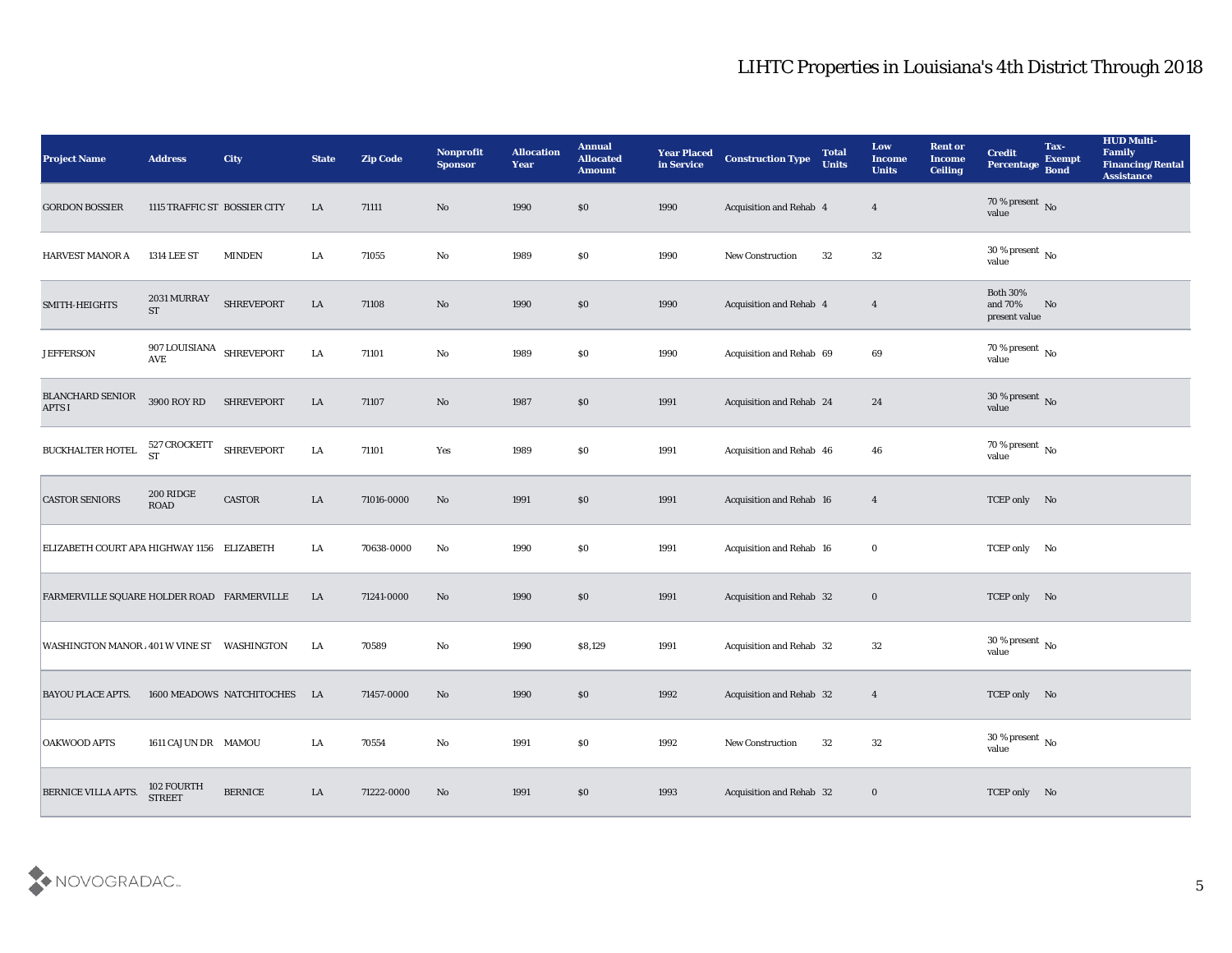| <b>Project Name</b>                        | <b>Address</b>                                 | City                      | <b>State</b> | <b>Zip Code</b> | Nonprofit<br><b>Sponsor</b> | <b>Allocation</b><br>Year | <b>Annual</b><br><b>Allocated</b><br><b>Amount</b> | <b>Year Placed</b><br>in Service | <b>Construction Type</b>        | <b>Total</b><br><b>Units</b> | Low<br><b>Income</b><br><b>Units</b> | <b>Rent or</b><br>Income<br><b>Ceiling</b> | <b>Credit</b><br>Percentage             | Tax-<br><b>Exempt</b><br><b>Bond</b> | <b>HUD Multi-</b><br>Family<br><b>Financing/Rental</b><br><b>Assistance</b> |
|--------------------------------------------|------------------------------------------------|---------------------------|--------------|-----------------|-----------------------------|---------------------------|----------------------------------------------------|----------------------------------|---------------------------------|------------------------------|--------------------------------------|--------------------------------------------|-----------------------------------------|--------------------------------------|-----------------------------------------------------------------------------|
| <b>GORDON BOSSIER</b>                      | 1115 TRAFFIC ST BOSSIER CITY                   |                           | LA           | 71111           | No                          | 1990                      | \$0                                                | 1990                             | Acquisition and Rehab 4         |                              | $\overline{4}$                       |                                            | 70 % present No<br>value                |                                      |                                                                             |
| <b>HARVEST MANOR A</b>                     | <b>1314 LEE ST</b>                             | <b>MINDEN</b>             | LA           | 71055           | No                          | 1989                      | \$0                                                | 1990                             | New Construction                | 32                           | 32                                   |                                            | 30 % present $\,$ No $\,$<br>value      |                                      |                                                                             |
| SMITH-HEIGHTS                              | 2031 MURRAY<br><b>ST</b>                       | <b>SHREVEPORT</b>         | LA           | 71108           | No                          | 1990                      | \$0                                                | 1990                             | Acquisition and Rehab 4         |                              | $\overline{\mathbf{4}}$              |                                            | Both $30\%$<br>and 70%<br>present value | No                                   |                                                                             |
| <b>JEFFERSON</b>                           | 907 LOUISIANA<br>$\operatorname{\mathsf{AVE}}$ | <b>SHREVEPORT</b>         | LA           | 71101           | $\mathbf{N}\mathbf{o}$      | 1989                      | $\$0$                                              | 1990                             | Acquisition and Rehab 69        |                              | 69                                   |                                            | $70\,\%$ present $\,$ No value          |                                      |                                                                             |
| <b>BLANCHARD SENIOR</b><br><b>APTS I</b>   | 3900 ROY RD                                    | <b>SHREVEPORT</b>         | LA           | 71107           | No                          | 1987                      | \$0                                                | 1991                             | Acquisition and Rehab 24        |                              | 24                                   |                                            | $30\,\%$ present $\,$ No value          |                                      |                                                                             |
| BUCKHALTER HOTEL                           | 527 CROCKETT<br><b>ST</b>                      | <b>SHREVEPORT</b>         | LA           | 71101           | Yes                         | 1989                      | \$0                                                | 1991                             | Acquisition and Rehab 46        |                              | 46                                   |                                            | $70\,\%$ present $\,$ No value          |                                      |                                                                             |
| <b>CASTOR SENIORS</b>                      | 200 RIDGE<br><b>ROAD</b>                       | CASTOR                    | LA           | 71016-0000      | No                          | 1991                      | \$0                                                | 1991                             | Acquisition and Rehab 16        |                              | $\overline{4}$                       |                                            | TCEP only No                            |                                      |                                                                             |
| ELIZABETH COURT APA HIGHWAY 1156 ELIZABETH |                                                |                           | LA           | 70638-0000      | No                          | 1990                      | \$0                                                | 1991                             | <b>Acquisition and Rehab 16</b> |                              | $\bf{0}$                             |                                            | TCEP only No                            |                                      |                                                                             |
| FARMERVILLE SQUARE HOLDER ROAD FARMERVILLE |                                                |                           | LA           | 71241-0000      | No                          | 1990                      | \$0                                                | 1991                             | Acquisition and Rehab 32        |                              | $\bf{0}$                             |                                            | TCEP only No                            |                                      |                                                                             |
| WASHINGTON MANOR 401 W VINE ST WASHINGTON  |                                                |                           | LA           | 70589           | No                          | 1990                      | \$8,129                                            | 1991                             | Acquisition and Rehab 32        |                              | 32                                   |                                            | 30 % present $\,$ No $\,$<br>value      |                                      |                                                                             |
| <b>BAYOU PLACE APTS.</b>                   |                                                | 1600 MEADOWS NATCHITOCHES | LA           | 71457-0000      | No                          | 1990                      | $\$0$                                              | 1992                             | <b>Acquisition and Rehab 32</b> |                              | $\overline{4}$                       |                                            | TCEP only No                            |                                      |                                                                             |
| <b>OAKWOOD APTS</b>                        | 1611 CAJUN DR MAMOU                            |                           | LA           | 70554           | $\mathbf {No}$              | 1991                      | $\$0$                                              | 1992                             | New Construction                | 32                           | 32                                   |                                            | 30 % present $\,$ No $\,$<br>value      |                                      |                                                                             |
| BERNICE VILLA APTS.                        | 102 FOURTH<br><b>STREET</b>                    | <b>BERNICE</b>            | ${\rm LA}$   | 71222-0000      | $\mathbf{N}\mathbf{o}$      | 1991                      | $\$0$                                              | 1993                             | Acquisition and Rehab 32        |                              | $\bf{0}$                             |                                            | TCEP only No                            |                                      |                                                                             |

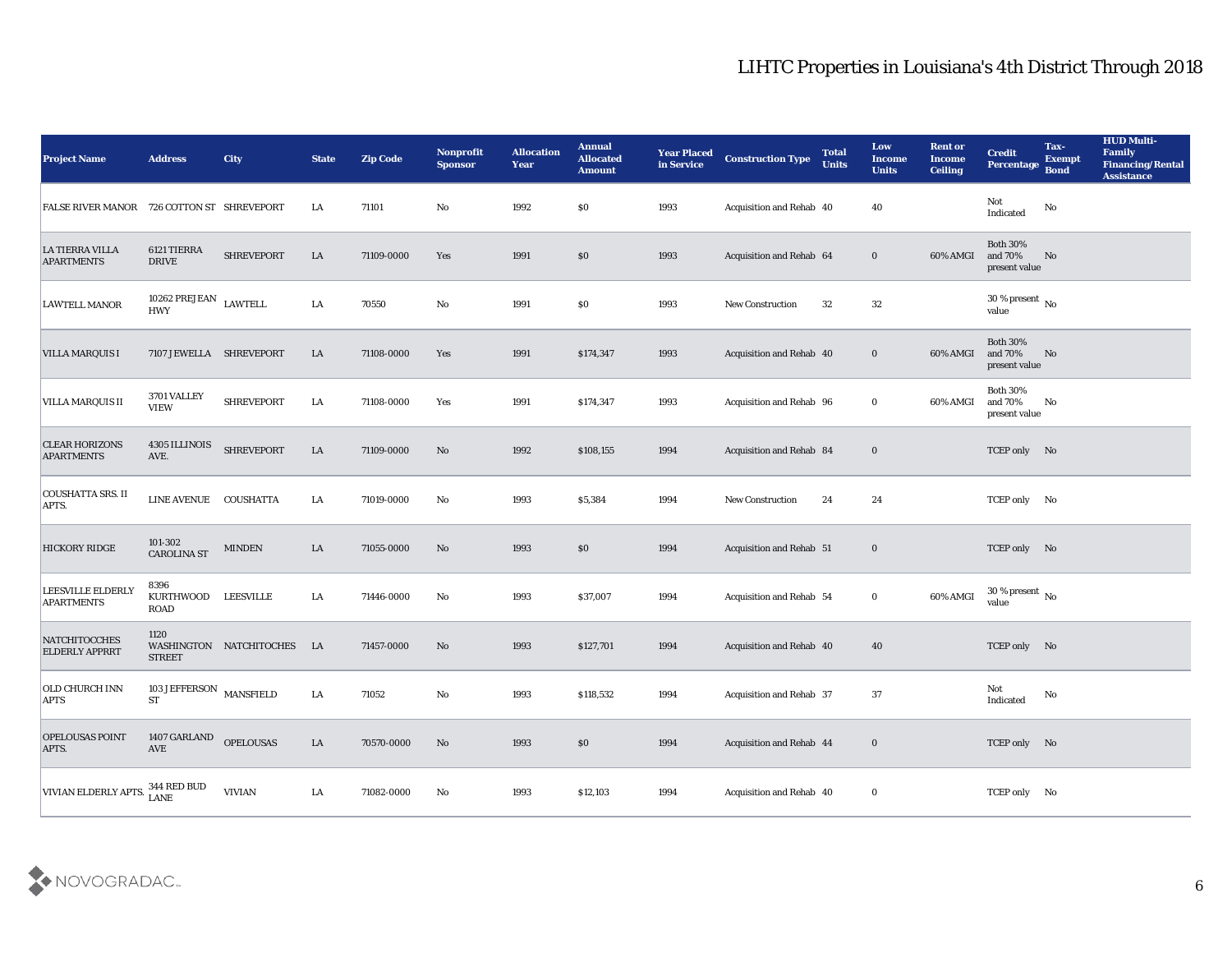| <b>Project Name</b>                           | <b>Address</b>                              | <b>City</b>             | <b>State</b> | <b>Zip Code</b> | Nonprofit<br><b>Sponsor</b> | <b>Allocation</b><br><b>Year</b> | <b>Annual</b><br><b>Allocated</b><br><b>Amount</b> | <b>Year Placed</b><br>in Service | <b>Construction Type</b>        | <b>Total</b><br><b>Units</b> | Low<br><b>Income</b><br><b>Units</b> | <b>Rent or</b><br>Income<br><b>Ceiling</b> | <b>Credit</b><br>Percentage                 | Tax-<br><b>Exempt</b><br><b>Bond</b> | <b>HUD Multi-</b><br>Family<br><b>Financing/Rental</b><br><b>Assistance</b> |
|-----------------------------------------------|---------------------------------------------|-------------------------|--------------|-----------------|-----------------------------|----------------------------------|----------------------------------------------------|----------------------------------|---------------------------------|------------------------------|--------------------------------------|--------------------------------------------|---------------------------------------------|--------------------------------------|-----------------------------------------------------------------------------|
| FALSE RIVER MANOR 726 COTTON ST SHREVEPORT    |                                             |                         | LA           | 71101           | No                          | 1992                             | \$0                                                | 1993                             | Acquisition and Rehab 40        |                              | 40                                   |                                            | Not<br>$\operatorname{Indicated}$           | No                                   |                                                                             |
| <b>LA TIERRA VILLA</b><br><b>APARTMENTS</b>   | 6121 TIERRA<br><b>DRIVE</b>                 | SHREVEPORT              | LA           | 71109-0000      | Yes                         | 1991                             | \$0                                                | 1993                             | Acquisition and Rehab 64        |                              | $\bf{0}$                             | 60% AMGI                                   | <b>Both 30%</b><br>and 70%<br>present value | No                                   |                                                                             |
| <b>LAWTELL MANOR</b>                          | 10262 PREJEAN $$\tt LAWTELL$$<br><b>HWY</b> |                         | ${\rm LA}$   | 70550           | No                          | 1991                             | \$0                                                | 1993                             | New Construction                | 32                           | 32                                   |                                            | 30 % present $\,$ No $\,$<br>value          |                                      |                                                                             |
| VILLA MARQUIS I                               | 7107 JEWELLA SHREVEPORT                     |                         | LA           | 71108-0000      | Yes                         | 1991                             | \$174,347                                          | 1993                             | Acquisition and Rehab 40        |                              | $\bf{0}$                             | 60% AMGI                                   | <b>Both 30%</b><br>and 70%<br>present value | No                                   |                                                                             |
| <b>VILLA MARQUIS II</b>                       | 3701 VALLEY<br><b>VIEW</b>                  | <b>SHREVEPORT</b>       | LA           | 71108-0000      | Yes                         | 1991                             | \$174,347                                          | 1993                             | Acquisition and Rehab 96        |                              | $\bf{0}$                             | 60% AMGI                                   | <b>Both 30%</b><br>and 70%<br>present value | No                                   |                                                                             |
| <b>CLEAR HORIZONS</b><br><b>APARTMENTS</b>    | 4305 ILLINOIS<br>AVE.                       | <b>SHREVEPORT</b>       | LA           | 71109-0000      | No                          | 1992                             | \$108,155                                          | 1994                             | Acquisition and Rehab 84        |                              | $\bf{0}$                             |                                            | TCEP only No                                |                                      |                                                                             |
| <b>COUSHATTA SRS. II</b><br>APTS.             | LINE AVENUE COUSHATTA                       |                         | LA           | 71019-0000      | No                          | 1993                             | \$5,384                                            | 1994                             | <b>New Construction</b>         | 24                           | 24                                   |                                            | TCEP only No                                |                                      |                                                                             |
| <b>HICKORY RIDGE</b>                          | 101-302<br><b>CAROLINA ST</b>               | <b>MINDEN</b>           | LA           | 71055-0000      | No                          | 1993                             | \$0                                                | 1994                             | <b>Acquisition and Rehab 51</b> |                              | $\bf{0}$                             |                                            | TCEP only No                                |                                      |                                                                             |
| LEESVILLE ELDERLY<br><b>APARTMENTS</b>        | 8396<br>KURTHWOOD<br><b>ROAD</b>            | LEESVILLE               | LA           | 71446-0000      | No                          | 1993                             | \$37,007                                           | 1994                             | <b>Acquisition and Rehab 54</b> |                              | $\bf{0}$                             | 60% AMGI                                   | 30 % present $\,$ No $\,$<br>value          |                                      |                                                                             |
| <b>NATCHITOCCHES</b><br><b>ELDERLY APPRRT</b> | 1120<br><b>STREET</b>                       | WASHINGTON NATCHITOCHES | LA           | 71457-0000      | No                          | 1993                             | \$127,701                                          | 1994                             | Acquisition and Rehab 40        |                              | 40                                   |                                            | TCEP only No                                |                                      |                                                                             |
| <b>OLD CHURCH INN</b><br><b>APTS</b>          | <b>103 JEFFERSON</b><br>${\cal S}{\cal T}$  | <b>MANSFIELD</b>        | LA           | 71052           | No                          | 1993                             | \$118,532                                          | 1994                             | <b>Acquisition and Rehab 37</b> |                              | 37                                   |                                            | Not<br>Indicated                            | No                                   |                                                                             |
| OPELOUSAS POINT<br>APTS.                      | 1407 GARLAND<br>$\operatorname{AVE}$        | <b>OPELOUSAS</b>        | ${\rm LA}$   | 70570-0000      | $\rm\thinspace No$          | 1993                             | $\$0$                                              | 1994                             | Acquisition and Rehab 44        |                              | $\bf{0}$                             |                                            | TCEP only No                                |                                      |                                                                             |
| VIVIAN ELDERLY APTS.                          | $344$ RED BUD LANE                          | <b>VIVIAN</b>           | ${\rm LA}$   | 71082-0000      | $\mathbf{N}\mathbf{o}$      | 1993                             | \$12,103                                           | 1994                             | Acquisition and Rehab 40        |                              | $\mathbf 0$                          |                                            | TCEP only No                                |                                      |                                                                             |

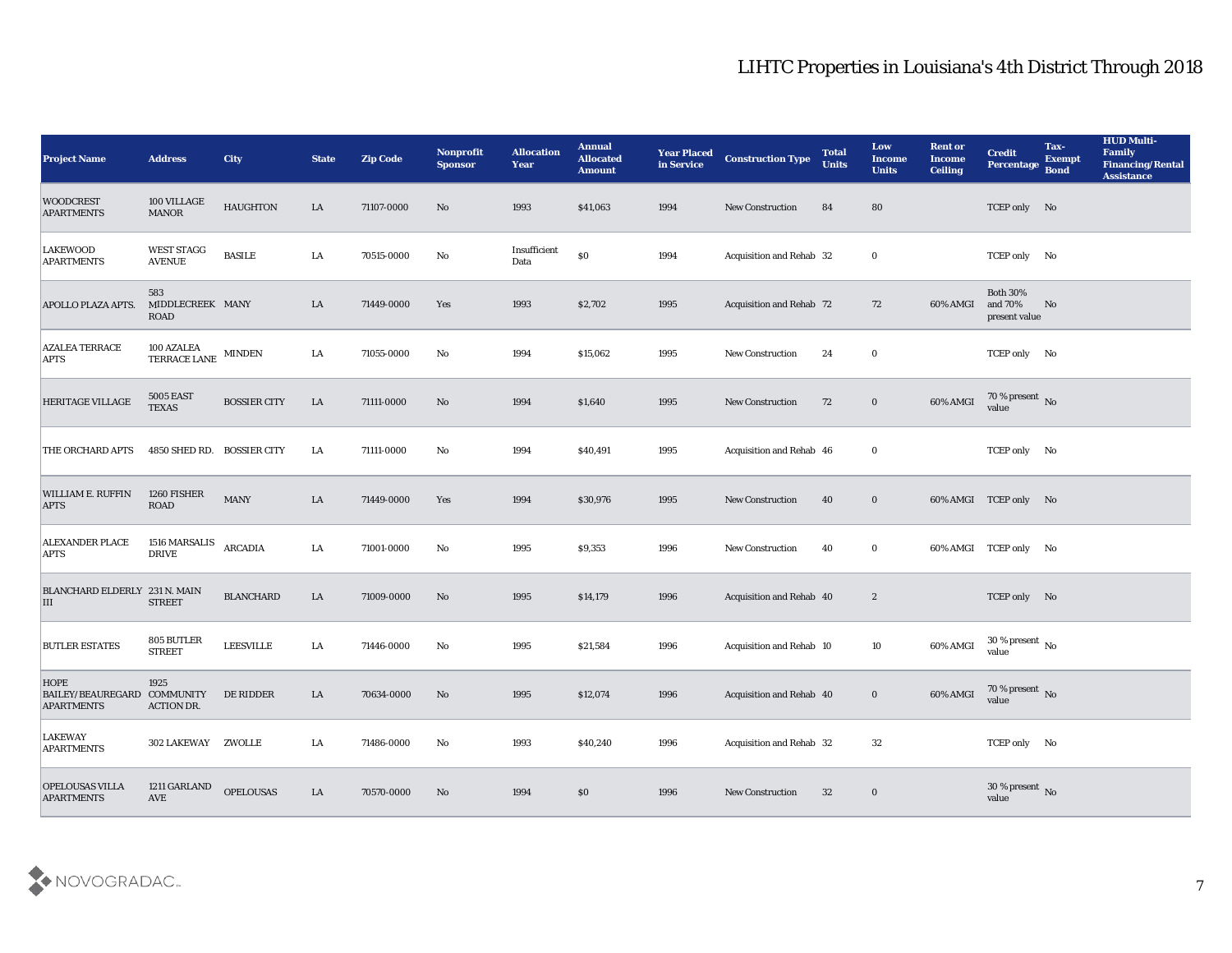| <b>Project Name</b>                                             | <b>Address</b>                        | City                | <b>State</b> | <b>Zip Code</b> | <b>Nonprofit</b><br><b>Sponsor</b> | <b>Allocation</b><br><b>Year</b> | <b>Annual</b><br><b>Allocated</b><br><b>Amount</b> | <b>Year Placed</b><br>in Service | <b>Construction Type</b> | <b>Total</b><br><b>Units</b> | Low<br><b>Income</b><br><b>Units</b> | <b>Rent or</b><br><b>Income</b><br><b>Ceiling</b> | <b>Credit</b><br>Percentage                 | Tax-<br><b>Exempt</b><br><b>Bond</b> | <b>HUD Multi-</b><br>Family<br><b>Financing/Rental</b><br><b>Assistance</b> |
|-----------------------------------------------------------------|---------------------------------------|---------------------|--------------|-----------------|------------------------------------|----------------------------------|----------------------------------------------------|----------------------------------|--------------------------|------------------------------|--------------------------------------|---------------------------------------------------|---------------------------------------------|--------------------------------------|-----------------------------------------------------------------------------|
| <b>WOODCREST</b><br><b>APARTMENTS</b>                           | 100 VILLAGE<br>$\operatorname{MANOR}$ | <b>HAUGHTON</b>     | LA           | 71107-0000      | No                                 | 1993                             | \$41,063                                           | 1994                             | <b>New Construction</b>  | 84                           | 80                                   |                                                   | TCEP only No                                |                                      |                                                                             |
| <b>LAKEWOOD</b><br><b>APARTMENTS</b>                            | <b>WEST STAGG</b><br><b>AVENUE</b>    | <b>BASILE</b>       | LA           | 70515-0000      | No                                 | Insufficient<br>Data             | $\$0$                                              | 1994                             | Acquisition and Rehab 32 |                              | $\mathbf{0}$                         |                                                   | TCEP only No                                |                                      |                                                                             |
| <b>APOLLO PLAZA APTS.</b>                                       | 583<br>MIDDLECREEK MANY<br>ROAD       |                     | LA           | 71449-0000      | Yes                                | 1993                             | \$2,702                                            | 1995                             | Acquisition and Rehab 72 |                              | 72                                   | 60% AMGI                                          | <b>Both 30%</b><br>and 70%<br>present value | No                                   |                                                                             |
| <b>AZALEA TERRACE</b><br><b>APTS</b>                            | 100 AZALEA<br>TERRACE LANE            | <b>MINDEN</b>       | LA           | 71055-0000      | No                                 | 1994                             | \$15,062                                           | 1995                             | <b>New Construction</b>  | 24                           | $\bf{0}$                             |                                                   | TCEP only No                                |                                      |                                                                             |
| <b>HERITAGE VILLAGE</b>                                         | <b>5005 EAST</b><br><b>TEXAS</b>      | <b>BOSSIER CITY</b> | LA           | 71111-0000      | No                                 | 1994                             | \$1,640                                            | 1995                             | <b>New Construction</b>  | 72                           | $\bf{0}$                             | 60% AMGI                                          | $70\,\%$ present $\,$ No value              |                                      |                                                                             |
| THE ORCHARD APTS                                                | 4850 SHED RD. BOSSIER CITY            |                     | LA           | 71111-0000      | No                                 | 1994                             | \$40,491                                           | 1995                             | Acquisition and Rehab 46 |                              | $\mathbf{0}$                         |                                                   | TCEP only No                                |                                      |                                                                             |
| WILLIAM E. RUFFIN<br><b>APTS</b>                                | 1260 FISHER<br><b>ROAD</b>            | <b>MANY</b>         | LA           | 71449-0000      | Yes                                | 1994                             | \$30,976                                           | 1995                             | <b>New Construction</b>  | 40                           | $\bf{0}$                             |                                                   | 60% AMGI TCEP only No                       |                                      |                                                                             |
| <b>ALEXANDER PLACE</b><br><b>APTS</b>                           | 1516 MARSALIS<br><b>DRIVE</b>         | <b>ARCADIA</b>      | LA           | 71001-0000      | No                                 | 1995                             | \$9,353                                            | 1996                             | <b>New Construction</b>  | 40                           | $\bf{0}$                             |                                                   | 60% AMGI TCEP only No                       |                                      |                                                                             |
| BLANCHARD ELDERLY 231 N. MAIN<br>III                            | <b>STREET</b>                         | <b>BLANCHARD</b>    | LA           | 71009-0000      | No                                 | 1995                             | \$14,179                                           | 1996                             | Acquisition and Rehab 40 |                              | $\boldsymbol{2}$                     |                                                   | TCEP only No                                |                                      |                                                                             |
| <b>BUTLER ESTATES</b>                                           | 805 BUTLER<br><b>STREET</b>           | <b>LEESVILLE</b>    | LA           | 71446-0000      | No                                 | 1995                             | \$21,584                                           | 1996                             | Acquisition and Rehab 10 |                              | 10                                   | 60% AMGI                                          | $30\,\%$ present $\,$ No value              |                                      |                                                                             |
| <b>HOPE</b><br>BAILEY/BEAUREGARD COMMUNITY<br><b>APARTMENTS</b> | 1925<br><b>ACTION DR.</b>             | DE RIDDER           | LA           | 70634-0000      | No                                 | 1995                             | \$12,074                                           | 1996                             | Acquisition and Rehab 40 |                              | $\bf{0}$                             | 60% AMGI                                          | 70 % present No<br>value                    |                                      |                                                                             |
| <b>LAKEWAY</b><br><b>APARTMENTS</b>                             | 302 LAKEWAY ZWOLLE                    |                     | LA           | 71486-0000      | $\mathbf{N}\mathbf{o}$             | 1993                             | \$40,240                                           | 1996                             | Acquisition and Rehab 32 |                              | 32                                   |                                                   | TCEP only No                                |                                      |                                                                             |
| OPELOUSAS VILLA<br><b>APARTMENTS</b>                            | 1211 GARLAND<br>$\operatorname{AVE}$  | <b>OPELOUSAS</b>    | ${\rm LA}$   | 70570-0000      | No                                 | 1994                             | $\$0$                                              | 1996                             | New Construction         | 32                           | $\bf{0}$                             |                                                   | $30\,\%$ present $\,$ No value              |                                      |                                                                             |

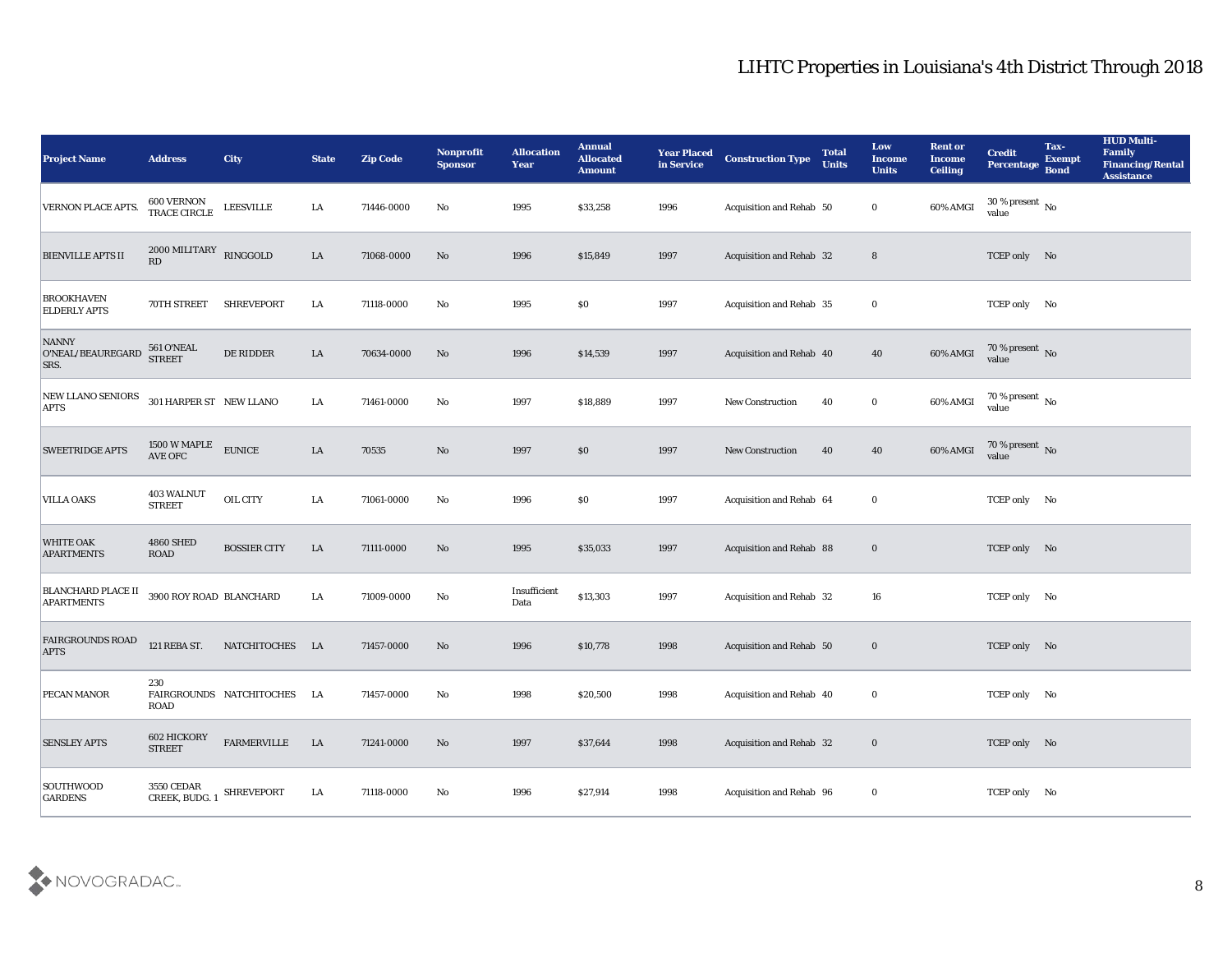| <b>Project Name</b>                            | <b>Address</b>                                         | <b>City</b>                 | <b>State</b> | <b>Zip Code</b> | Nonprofit<br><b>Sponsor</b> | <b>Allocation</b><br>Year | <b>Annual</b><br><b>Allocated</b><br><b>Amount</b> | <b>Year Placed</b><br>in Service | <b>Construction Type</b>        | <b>Total</b><br><b>Units</b> | Low<br>Income<br><b>Units</b> | <b>Rent or</b><br><b>Income</b><br><b>Ceiling</b> | <b>Credit</b><br><b>Percentage</b> | Tax-<br><b>Exempt</b><br><b>Bond</b> | <b>HUD Multi-</b><br>Family<br><b>Financing/Rental</b><br><b>Assistance</b> |
|------------------------------------------------|--------------------------------------------------------|-----------------------------|--------------|-----------------|-----------------------------|---------------------------|----------------------------------------------------|----------------------------------|---------------------------------|------------------------------|-------------------------------|---------------------------------------------------|------------------------------------|--------------------------------------|-----------------------------------------------------------------------------|
| <b>VERNON PLACE APTS.</b>                      | 600 VERNON<br>TRACE CIRCLE                             | <b>LEESVILLE</b>            | LA           | 71446-0000      | No                          | 1995                      | \$33,258                                           | 1996                             | Acquisition and Rehab 50        |                              | $\bf{0}$                      | 60% AMGI                                          | 30 % present $\,$ No $\,$<br>value |                                      |                                                                             |
| <b>BIENVILLE APTS II</b>                       | $2000\,\mathrm{MILITARY}$ RINGGOLD<br>RD               |                             | ${\rm LA}$   | 71068-0000      | No                          | 1996                      | \$15,849                                           | 1997                             | Acquisition and Rehab 32        |                              | $8\phantom{1}$                |                                                   | TCEP only No                       |                                      |                                                                             |
| <b>BROOKHAVEN</b><br><b>ELDERLY APTS</b>       | 70TH STREET                                            | <b>SHREVEPORT</b>           | LA           | 71118-0000      | $\mathbf{N}\mathbf{o}$      | 1995                      | \$0                                                | 1997                             | <b>Acquisition and Rehab 35</b> |                              | $\bf{0}$                      |                                                   | TCEP only No                       |                                      |                                                                             |
| <b>NANNY</b><br>O'NEAL/BEAUREGARD<br>SRS.      | 561 O'NEAL<br>STREET                                   | DE RIDDER                   | ${\rm LA}$   | 70634-0000      | No                          | 1996                      | \$14,539                                           | 1997                             | Acquisition and Rehab 40        |                              | 40                            | 60% AMGI                                          | $70\,\%$ present $\,$ No value     |                                      |                                                                             |
| <b>NEW LLANO SENIORS</b><br><b>APTS</b>        | 301 HARPER ST NEW LLANO                                |                             | LA           | 71461-0000      | No                          | 1997                      | \$18,889                                           | 1997                             | <b>New Construction</b>         | 40                           | $\bf{0}$                      | 60% AMGI                                          | 70 % present No<br>value           |                                      |                                                                             |
| <b>SWEETRIDGE APTS</b>                         | 1500 W MAPLE<br>AVE OFC                                | <b>EUNICE</b>               | ${\rm LA}$   | 70535           | No                          | 1997                      | \$0                                                | 1997                             | <b>New Construction</b>         | 40                           | 40                            | 60% AMGI                                          | $70\,\%$ present $\,$ No value     |                                      |                                                                             |
| <b>VILLA OAKS</b>                              | 403 WALNUT<br><b>STREET</b>                            | OIL CITY                    | LA           | 71061-0000      | No                          | 1996                      | \$0                                                | 1997                             | Acquisition and Rehab 64        |                              | $\bf{0}$                      |                                                   | TCEP only No                       |                                      |                                                                             |
| <b>WHITE OAK</b><br><b>APARTMENTS</b>          | <b>4860 SHED</b><br><b>ROAD</b>                        | <b>BOSSIER CITY</b>         | LA           | 71111-0000      | No                          | 1995                      | \$35,033                                           | 1997                             | Acquisition and Rehab 88        |                              | $\bf{0}$                      |                                                   | TCEP only No                       |                                      |                                                                             |
| <b>BLANCHARD PLACE II</b><br><b>APARTMENTS</b> | 3900 ROY ROAD BLANCHARD                                |                             | LA           | 71009-0000      | No                          | Insufficient<br>Data      | \$13,303                                           | 1997                             | <b>Acquisition and Rehab 32</b> |                              | 16                            |                                                   | TCEP only No                       |                                      |                                                                             |
| <b>FAIRGROUNDS ROAD</b><br><b>APTS</b>         | 121 REBA ST.                                           | NATCHITOCHES LA             |              | 71457-0000      | No                          | 1996                      | \$10,778                                           | 1998                             | Acquisition and Rehab 50        |                              | $\bf{0}$                      |                                                   | TCEP only No                       |                                      |                                                                             |
| <b>PECAN MANOR</b>                             | 230<br>ROAD                                            | FAIRGROUNDS NATCHITOCHES LA |              | 71457-0000      | No                          | 1998                      | \$20,500                                           | 1998                             | Acquisition and Rehab 40        |                              | $\bf{0}$                      |                                                   | TCEP only No                       |                                      |                                                                             |
| <b>SENSLEY APTS</b>                            | 602 HICKORY<br><b>STREET</b>                           | ${\tt FARMERVILLE}$         | ${\rm LA}$   | 71241-0000      | $\rm \bf No$                | 1997                      | \$37,644                                           | 1998                             | Acquisition and Rehab 32        |                              | $\mathbf 0$                   |                                                   | TCEP only No                       |                                      |                                                                             |
| SOUTHWOOD<br><b>GARDENS</b>                    | $3550$ CEDAR $$\sf{SHREVEPORT}$ CREEK, ${\sf BUDG}.$ 1 |                             | ${\bf LA}$   | 71118-0000      | $\mathbf {No}$              | 1996                      | \$27,914                                           | 1998                             | Acquisition and Rehab 96        |                              | $\mathbf 0$                   |                                                   | TCEP only No                       |                                      |                                                                             |

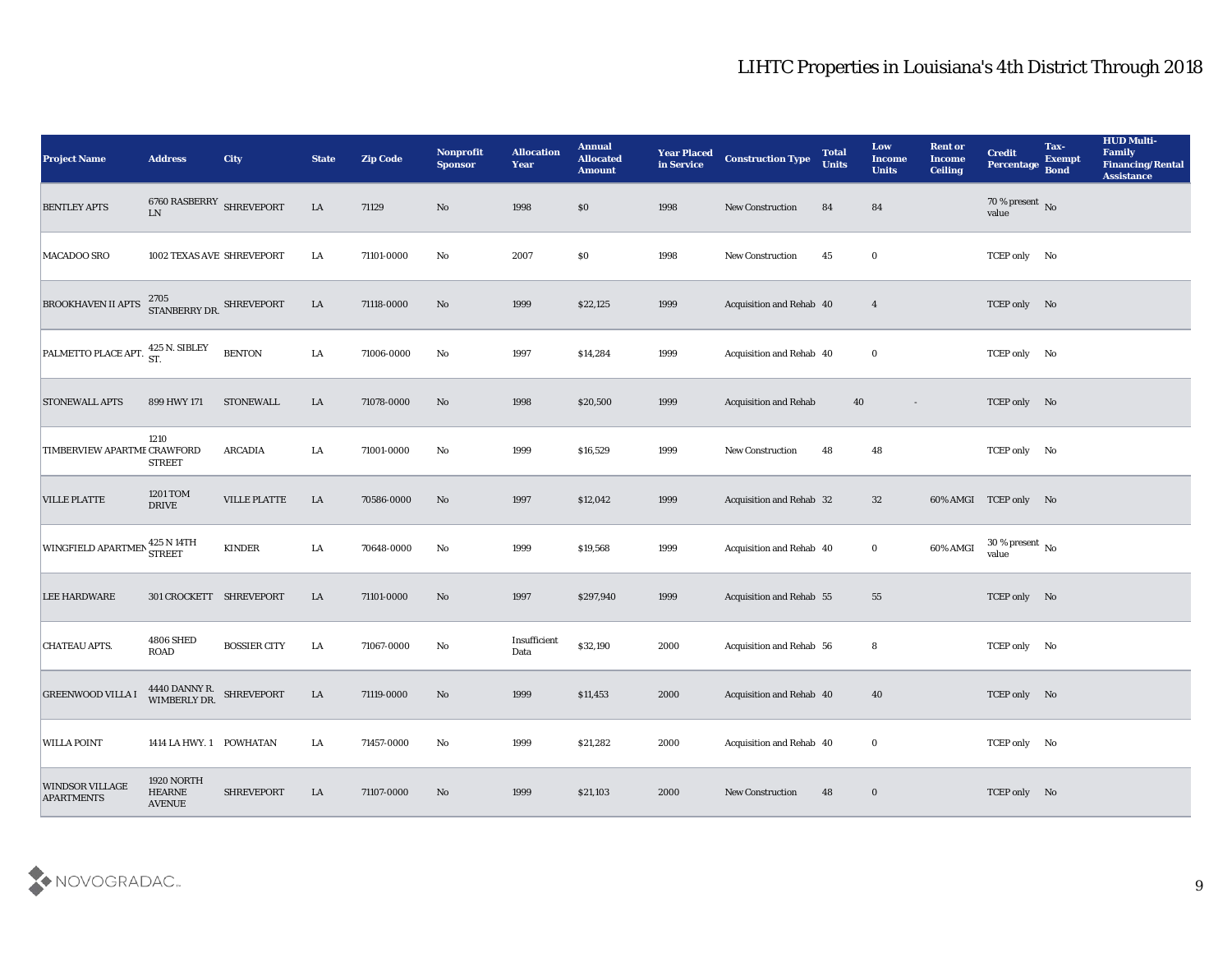| <b>Project Name</b>                         | <b>Address</b>                               | <b>City</b>         | <b>State</b> | <b>Zip Code</b> | Nonprofit<br><b>Sponsor</b> | <b>Allocation</b><br><b>Year</b> | <b>Annual</b><br><b>Allocated</b><br><b>Amount</b> | <b>Year Placed</b><br>in Service | <b>Construction Type</b>        | <b>Total</b><br><b>Units</b> | Low<br>Income<br><b>Units</b> | <b>Rent or</b><br><b>Income</b><br><b>Ceiling</b> | <b>Credit</b><br>Percentage        | Tax-<br><b>Exempt</b><br><b>Bond</b> | <b>HUD Multi-</b><br>Family<br><b>Financing/Rental</b><br><b>Assistance</b> |
|---------------------------------------------|----------------------------------------------|---------------------|--------------|-----------------|-----------------------------|----------------------------------|----------------------------------------------------|----------------------------------|---------------------------------|------------------------------|-------------------------------|---------------------------------------------------|------------------------------------|--------------------------------------|-----------------------------------------------------------------------------|
| <b>BENTLEY APTS</b>                         | $6760$ RASBERRY SHREVEPORT LN                |                     | $\rm LA$     | 71129           | No                          | 1998                             | \$0                                                | 1998                             | New Construction                | 84                           | 84                            |                                                   | 70 % present No<br>value           |                                      |                                                                             |
| MACADOO SRO                                 | 1002 TEXAS AVE SHREVEPORT                    |                     | LA           | 71101-0000      | No                          | 2007                             | \$0                                                | 1998                             | <b>New Construction</b>         | 45                           | $\bf{0}$                      |                                                   | TCEP only No                       |                                      |                                                                             |
| <b>BROOKHAVEN II APTS</b>                   | 2705<br>STANBERRY DR. SHREVEPORT             |                     | ${\rm LA}$   | 71118-0000      | No                          | 1999                             | \$22,125                                           | 1999                             | Acquisition and Rehab 40        |                              | $\overline{4}$                |                                                   | TCEP only No                       |                                      |                                                                             |
| PALMETTO PLACE APT. 425 N. SIBLEY           |                                              | <b>BENTON</b>       | LA           | 71006-0000      | No                          | 1997                             | \$14,284                                           | 1999                             | Acquisition and Rehab 40        |                              | $\bf{0}$                      |                                                   | TCEP only No                       |                                      |                                                                             |
| <b>STONEWALL APTS</b>                       | 899 HWY 171                                  | <b>STONEWALL</b>    | LA           | 71078-0000      | No                          | 1998                             | \$20,500                                           | 1999                             | <b>Acquisition and Rehab</b>    | 40                           | $\overline{\phantom{a}}$      |                                                   | TCEP only No                       |                                      |                                                                             |
| TIMBERVIEW APARTME CRAWFORD                 | 1210<br><b>STREET</b>                        | ARCADIA             | LA           | 71001-0000      | No                          | 1999                             | \$16,529                                           | 1999                             | <b>New Construction</b>         | 48                           | 48                            |                                                   | TCEP only No                       |                                      |                                                                             |
| <b>VILLE PLATTE</b>                         | 1201 TOM<br><b>DRIVE</b>                     | VILLE PLATTE        | ${\rm LA}$   | 70586-0000      | No                          | 1997                             | \$12,042                                           | 1999                             | Acquisition and Rehab 32        |                              | 32                            |                                                   | 60% AMGI TCEP only No              |                                      |                                                                             |
| WINGFIELD APARTMEN STREET                   | 425 N 14TH                                   | <b>KINDER</b>       | LA           | 70648-0000      | No                          | 1999                             | \$19,568                                           | 1999                             | Acquisition and Rehab 40        |                              | $\bf{0}$                      | 60% AMGI                                          | 30 % present $\,$ No $\,$<br>value |                                      |                                                                             |
| <b>LEE HARDWARE</b>                         | 301 CROCKETT SHREVEPORT                      |                     | LA           | 71101-0000      | No                          | 1997                             | \$297,940                                          | 1999                             | <b>Acquisition and Rehab 55</b> |                              | 55                            |                                                   | TCEP only No                       |                                      |                                                                             |
| <b>CHATEAU APTS.</b>                        | <b>4806 SHED</b><br><b>ROAD</b>              | <b>BOSSIER CITY</b> | LA           | 71067-0000      | No                          | Insufficient<br>Data             | \$32,190                                           | 2000                             | Acquisition and Rehab 56        |                              | 8                             |                                                   | TCEP only No                       |                                      |                                                                             |
| <b>GREENWOOD VILLA I</b>                    | 4440 DANNY R. SHREVEPORT<br>WIMBERLY DR.     |                     | LA           | 71119-0000      | No                          | 1999                             | \$11,453                                           | 2000                             | Acquisition and Rehab 40        |                              | 40                            |                                                   | TCEP only No                       |                                      |                                                                             |
| <b>WILLA POINT</b>                          | 1414 LA HWY. 1 POWHATAN                      |                     | LA           | 71457-0000      | $\rm\, No$                  | 1999                             | \$21,282                                           | 2000                             | Acquisition and Rehab 40        |                              | $\bf{0}$                      |                                                   | TCEP only No                       |                                      |                                                                             |
| <b>WINDSOR VILLAGE</b><br><b>APARTMENTS</b> | 1920 NORTH<br><b>HEARNE</b><br><b>AVENUE</b> | <b>SHREVEPORT</b>   | LA           | 71107-0000      | No                          | 1999                             | \$21,103                                           | 2000                             | New Construction                | 48                           | $\bf{0}$                      |                                                   | TCEP only No                       |                                      |                                                                             |

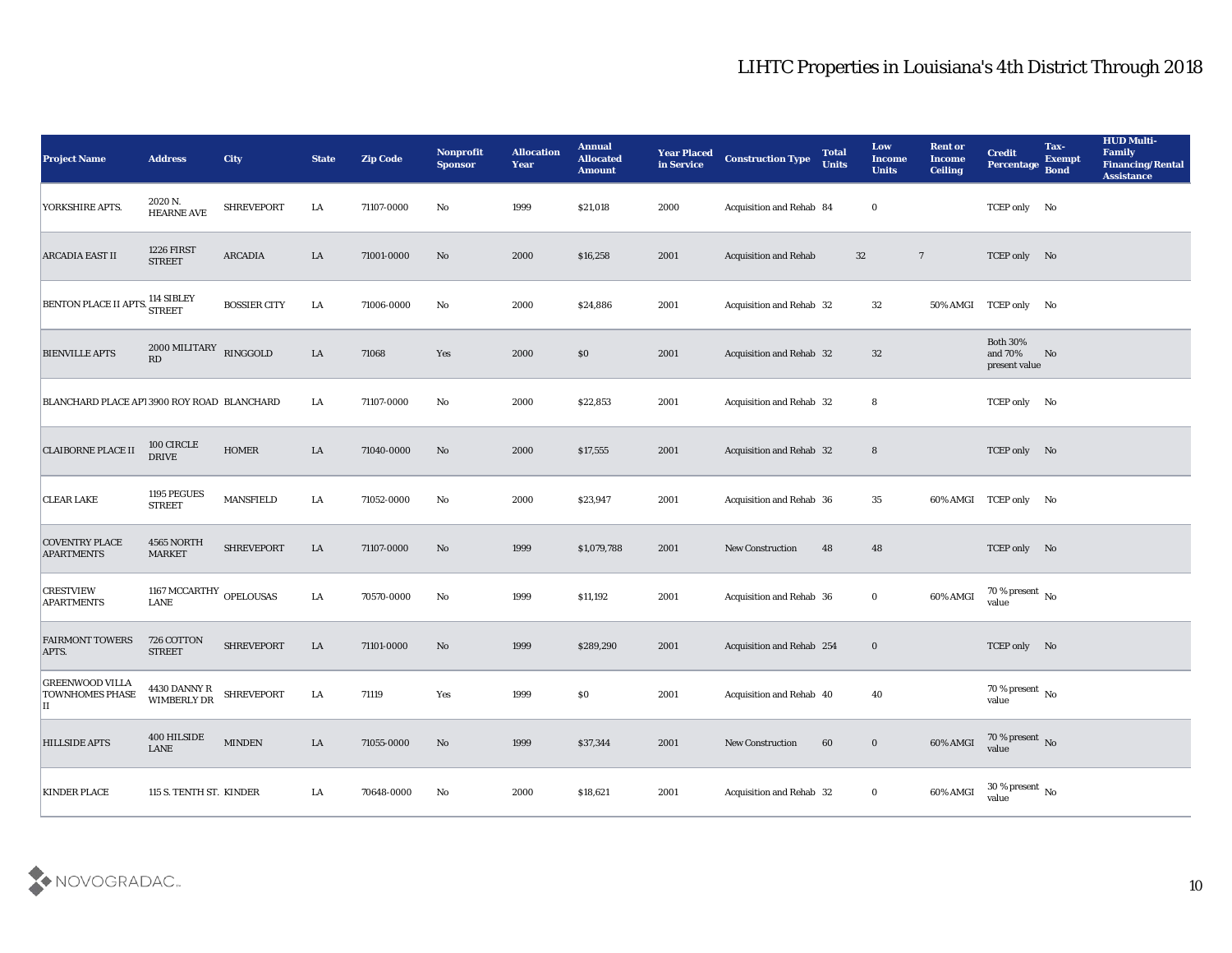| <b>Project Name</b>                                          | <b>Address</b>                         | <b>City</b>         | <b>State</b> | <b>Zip Code</b> | Nonprofit<br><b>Sponsor</b> | <b>Allocation</b><br><b>Year</b> | <b>Annual</b><br><b>Allocated</b><br><b>Amount</b> | <b>Year Placed</b><br>in Service | <b>Construction Type</b>     | <b>Total</b><br><b>Units</b> | Low<br><b>Income</b><br><b>Units</b> | <b>Rent or</b><br><b>Income</b><br><b>Ceiling</b> | <b>Credit</b><br>Percentage                 | Tax-<br><b>Exempt</b><br><b>Bond</b> | <b>HUD Multi-</b><br>Family<br><b>Financing/Rental</b><br><b>Assistance</b> |
|--------------------------------------------------------------|----------------------------------------|---------------------|--------------|-----------------|-----------------------------|----------------------------------|----------------------------------------------------|----------------------------------|------------------------------|------------------------------|--------------------------------------|---------------------------------------------------|---------------------------------------------|--------------------------------------|-----------------------------------------------------------------------------|
| YORKSHIRE APTS.                                              | 2020 N.<br><b>HEARNE AVE</b>           | <b>SHREVEPORT</b>   | LA           | 71107-0000      | No                          | 1999                             | \$21,018                                           | 2000                             | Acquisition and Rehab 84     |                              | $\mathbf{0}$                         |                                                   | TCEP only No                                |                                      |                                                                             |
| <b>ARCADIA EAST II</b>                                       | 1226 FIRST<br><b>STREET</b>            | <b>ARCADIA</b>      | LA           | 71001-0000      | No                          | 2000                             | \$16,258                                           | 2001                             | <b>Acquisition and Rehab</b> |                              | 32                                   | $\overline{7}$                                    | TCEP only No                                |                                      |                                                                             |
| <b>BENTON PLACE II APTS</b>                                  | 114 SIBLEY<br><b>STREET</b>            | <b>BOSSIER CITY</b> | LA           | 71006-0000      | No                          | 2000                             | \$24,886                                           | 2001                             | Acquisition and Rehab 32     |                              | 32                                   | 50% AMGI                                          | TCEP only No                                |                                      |                                                                             |
| <b>BIENVILLE APTS</b>                                        | 2000 MILITARY<br>RD                    | RINGGOLD            | LA           | 71068           | Yes                         | 2000                             | \$0                                                | 2001                             | Acquisition and Rehab 32     |                              | 32                                   |                                                   | <b>Both 30%</b><br>and 70%<br>present value | No                                   |                                                                             |
| BLANCHARD PLACE API 3900 ROY ROAD BLANCHARD                  |                                        |                     | LA           | 71107-0000      | No                          | 2000                             | \$22,853                                           | 2001                             | Acquisition and Rehab 32     |                              | 8                                    |                                                   | TCEP only No                                |                                      |                                                                             |
| <b>CLAIBORNE PLACE II</b>                                    | 100 CIRCLE<br><b>DRIVE</b>             | <b>HOMER</b>        | LA           | 71040-0000      | No                          | 2000                             | \$17,555                                           | 2001                             | Acquisition and Rehab 32     |                              | $8\phantom{1}$                       |                                                   | TCEP only No                                |                                      |                                                                             |
| <b>CLEAR LAKE</b>                                            | 1195 PEGUES<br><b>STREET</b>           | <b>MANSFIELD</b>    | LA           | 71052-0000      | No                          | 2000                             | \$23,947                                           | 2001                             | Acquisition and Rehab 36     |                              | 35                                   |                                                   | 60% AMGI TCEP only No                       |                                      |                                                                             |
| <b>COVENTRY PLACE</b><br><b>APARTMENTS</b>                   | 4565 NORTH<br><b>MARKET</b>            | <b>SHREVEPORT</b>   | LA           | 71107-0000      | No                          | 1999                             | \$1,079,788                                        | 2001                             | <b>New Construction</b>      | 48                           | 48                                   |                                                   | TCEP only No                                |                                      |                                                                             |
| <b>CRESTVIEW</b><br><b>APARTMENTS</b>                        | 1167 MCCARTHY OPELOUSAS<br><b>LANE</b> |                     | LA           | 70570-0000      | No                          | 1999                             | \$11,192                                           | 2001                             | Acquisition and Rehab 36     |                              | $\bf{0}$                             | 60% AMGI                                          | $70\,\%$ present $\,$ No value              |                                      |                                                                             |
| <b>FAIRMONT TOWERS</b><br>APTS.                              | 726 COTTON<br><b>STREET</b>            | <b>SHREVEPORT</b>   | LA           | 71101-0000      | No                          | 1999                             | \$289,290                                          | 2001                             | Acquisition and Rehab 254    |                              | $\bf{0}$                             |                                                   | TCEP only No                                |                                      |                                                                             |
| <b>GREENWOOD VILLA</b><br><b>TOWNHOMES PHASE</b><br>$\rm II$ | 4430 DANNY R<br><b>WIMBERLY DR</b>     | <b>SHREVEPORT</b>   | LA           | 71119           | Yes                         | 1999                             | $\$0$                                              | 2001                             | Acquisition and Rehab 40     |                              | 40                                   |                                                   | 70 % present $\,$ No $\,$<br>value          |                                      |                                                                             |
| <b>HILLSIDE APTS</b>                                         | 400 HILSIDE<br>LANE                    | <b>MINDEN</b>       | ${\rm LA}$   | 71055-0000      | $\rm\, No$                  | 1999                             | \$37,344                                           | 2001                             | New Construction             | 60                           | $\mathbf 0$                          | 60% AMGI                                          | $70\,\%$ present $\,$ No value              |                                      |                                                                             |
| <b>KINDER PLACE</b>                                          | 115 S. TENTH ST. KINDER                |                     | ${\bf LA}$   | 70648-0000      | No                          | 2000                             | \$18,621                                           | 2001                             | Acquisition and Rehab 32     |                              | $\mathbf 0$                          | 60% AMGI                                          | 30 % present $\,$ No $\,$<br>value          |                                      |                                                                             |

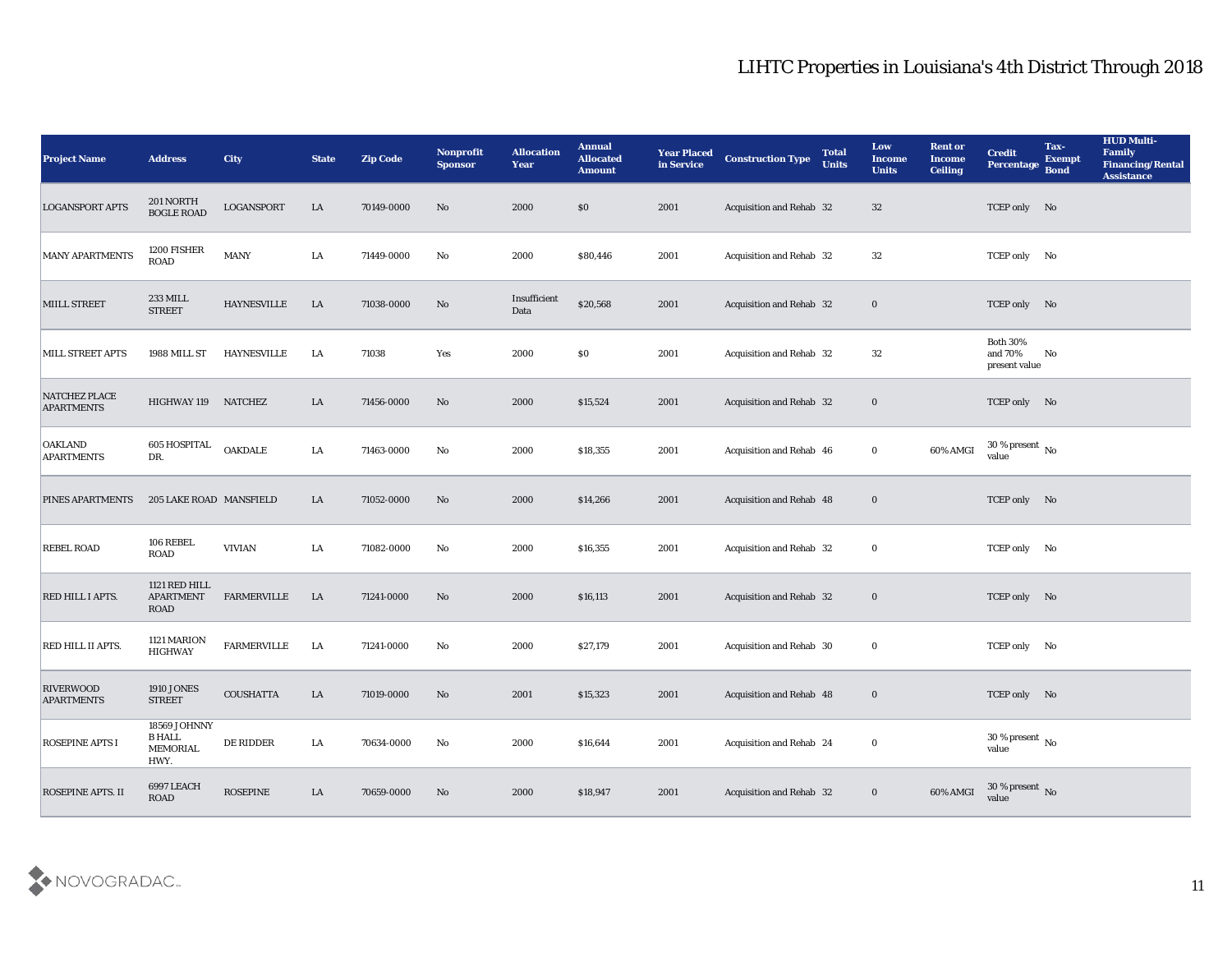| <b>Project Name</b>                       | <b>Address</b>                                    | <b>City</b>        | <b>State</b> | <b>Zip Code</b> | Nonprofit<br><b>Sponsor</b> | <b>Allocation</b><br><b>Year</b> | <b>Annual</b><br><b>Allocated</b><br><b>Amount</b> | <b>Year Placed</b><br>in Service | <b>Construction Type</b>        | <b>Total</b><br><b>Units</b> | Low<br><b>Income</b><br><b>Units</b> | <b>Rent or</b><br><b>Income</b><br><b>Ceiling</b> | <b>Credit</b><br>Percentage                 | Tax-<br><b>Exempt</b><br><b>Bond</b> | <b>HUD Multi-</b><br>Family<br><b>Financing/Rental</b><br><b>Assistance</b> |
|-------------------------------------------|---------------------------------------------------|--------------------|--------------|-----------------|-----------------------------|----------------------------------|----------------------------------------------------|----------------------------------|---------------------------------|------------------------------|--------------------------------------|---------------------------------------------------|---------------------------------------------|--------------------------------------|-----------------------------------------------------------------------------|
| <b>LOGANSPORT APTS</b>                    | 201 NORTH<br><b>BOGLE ROAD</b>                    | LOGANSPORT         | LA           | 70149-0000      | No                          | 2000                             | $\$0$                                              | 2001                             | Acquisition and Rehab 32        |                              | 32                                   |                                                   | TCEP only No                                |                                      |                                                                             |
| <b>MANY APARTMENTS</b>                    | 1200 FISHER<br><b>ROAD</b>                        | <b>MANY</b>        | LA           | 71449-0000      | No                          | 2000                             | \$80,446                                           | 2001                             | Acquisition and Rehab 32        |                              | 32                                   |                                                   | TCEP only No                                |                                      |                                                                             |
| <b>MIILL STREET</b>                       | 233 MILL<br><b>STREET</b>                         | <b>HAYNESVILLE</b> | LA           | 71038-0000      | No                          | Insufficient<br>Data             | \$20,568                                           | 2001                             | Acquisition and Rehab 32        |                              | $\bf{0}$                             |                                                   | TCEP only No                                |                                      |                                                                             |
| <b>MILL STREET APTS</b>                   | 1988 MILL ST                                      | <b>HAYNESVILLE</b> | LA           | 71038           | Yes                         | 2000                             | $\$0$                                              | 2001                             | Acquisition and Rehab 32        |                              | 32                                   |                                                   | <b>Both 30%</b><br>and 70%<br>present value | No                                   |                                                                             |
| <b>NATCHEZ PLACE</b><br><b>APARTMENTS</b> | HIGHWAY 119 NATCHEZ                               |                    | LA           | 71456-0000      | No                          | 2000                             | \$15,524                                           | 2001                             | Acquisition and Rehab 32        |                              | $\bf{0}$                             |                                                   | TCEP only No                                |                                      |                                                                             |
| <b>OAKLAND</b><br><b>APARTMENTS</b>       | 605 HOSPITAL<br>DR.                               | <b>OAKDALE</b>     | LA           | 71463-0000      | No                          | 2000                             | \$18,355                                           | 2001                             | Acquisition and Rehab 46        |                              | $\bf{0}$                             | 60% AMGI                                          | $30\,\%$ present $\,$ No $\,$<br>value      |                                      |                                                                             |
| <b>PINES APARTMENTS</b>                   | 205 LAKE ROAD MANSFIELD                           |                    | LA           | 71052-0000      | No                          | 2000                             | \$14,266                                           | 2001                             | Acquisition and Rehab 48        |                              | $\bf{0}$                             |                                                   | TCEP only No                                |                                      |                                                                             |
| <b>REBEL ROAD</b>                         | 106 REBEL<br><b>ROAD</b>                          | <b>VIVIAN</b>      | LA           | 71082-0000      | No                          | 2000                             | \$16,355                                           | 2001                             | Acquisition and Rehab 32        |                              | $\bf{0}$                             |                                                   | TCEP only No                                |                                      |                                                                             |
| RED HILL I APTS.                          | 1121 RED HILL<br><b>APARTMENT</b><br>ROAD         | <b>FARMERVILLE</b> | LA           | 71241-0000      | No                          | 2000                             | \$16,113                                           | 2001                             | Acquisition and Rehab 32        |                              | $\bf{0}$                             |                                                   | TCEP only No                                |                                      |                                                                             |
| RED HILL II APTS.                         | 1121 MARION<br><b>HIGHWAY</b>                     | <b>FARMERVILLE</b> | LA           | 71241-0000      | No                          | 2000                             | \$27,179                                           | 2001                             | Acquisition and Rehab 30        |                              | $\bf{0}$                             |                                                   | TCEP only No                                |                                      |                                                                             |
| <b>RIVERWOOD</b><br><b>APARTMENTS</b>     | <b>1910 JONES</b><br><b>STREET</b>                | <b>COUSHATTA</b>   | LA           | 71019-0000      | No                          | 2001                             | \$15,323                                           | 2001                             | <b>Acquisition and Rehab 48</b> |                              | $\bf{0}$                             |                                                   | TCEP only No                                |                                      |                                                                             |
| <b>ROSEPINE APTS I</b>                    | 18569 JOHNNY<br><b>B HALL</b><br>MEMORIAL<br>HWY. | DE RIDDER          | LA           | 70634-0000      | $\rm\thinspace No$          | 2000                             | \$16,644                                           | 2001                             | Acquisition and Rehab 24        |                              | $\bf{0}$                             |                                                   | $30\,\%$ present $\,$ No $\,$<br>value      |                                      |                                                                             |
| <b>ROSEPINE APTS. II</b>                  | 6997 LEACH                                        | ROSEPINE           | LA           | 70659-0000      | No                          | 2000                             | \$18,947                                           | 2001                             | Acquisition and Rehab 32        |                              | $\bf{0}$                             | 60% AMGI                                          | 30 % present $\,$ No $\,$<br>value          |                                      |                                                                             |

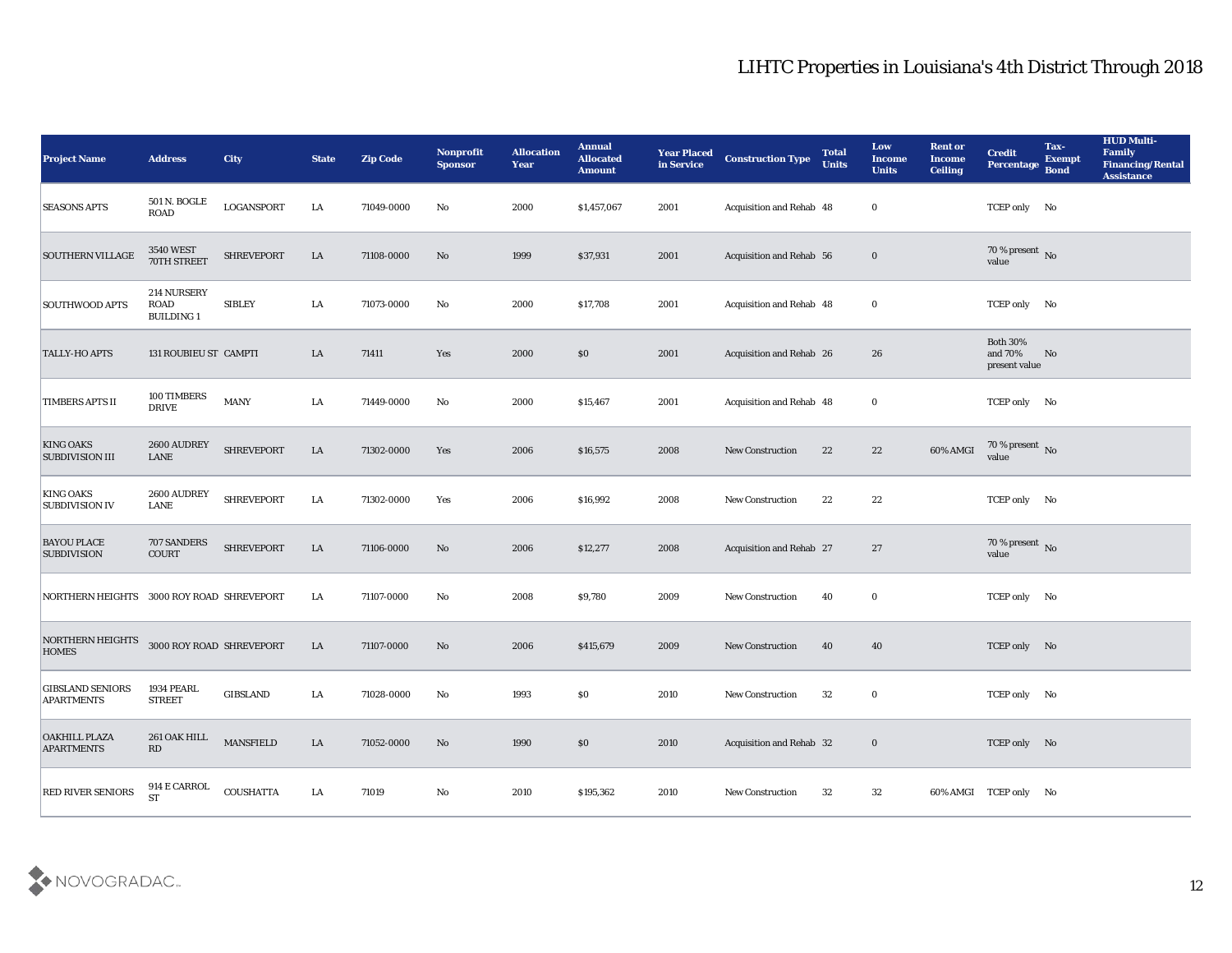| <b>Project Name</b>                          | <b>Address</b>                                  | <b>City</b>       | <b>State</b> | <b>Zip Code</b> | Nonprofit<br><b>Sponsor</b> | <b>Allocation</b><br><b>Year</b> | <b>Annual</b><br><b>Allocated</b><br><b>Amount</b> | <b>Year Placed</b><br>in Service | <b>Construction Type</b>        | <b>Total</b><br><b>Units</b> | Low<br><b>Income</b><br><b>Units</b> | <b>Rent or</b><br><b>Income</b><br><b>Ceiling</b> | <b>Credit</b><br><b>Percentage</b>          | Tax-<br><b>Exempt</b><br><b>Bond</b> | <b>HUD Multi-</b><br>Family<br><b>Financing/Rental</b><br><b>Assistance</b> |
|----------------------------------------------|-------------------------------------------------|-------------------|--------------|-----------------|-----------------------------|----------------------------------|----------------------------------------------------|----------------------------------|---------------------------------|------------------------------|--------------------------------------|---------------------------------------------------|---------------------------------------------|--------------------------------------|-----------------------------------------------------------------------------|
| <b>SEASONS APTS</b>                          | 501 N. BOGLE<br><b>ROAD</b>                     | <b>LOGANSPORT</b> | LA           | 71049-0000      | No                          | 2000                             | \$1,457,067                                        | 2001                             | Acquisition and Rehab 48        |                              | $\bf{0}$                             |                                                   | TCEP only No                                |                                      |                                                                             |
| SOUTHERN VILLAGE                             | <b>3540 WEST</b><br>70TH STREET                 | SHREVEPORT        | LA           | 71108-0000      | No                          | 1999                             | \$37,931                                           | 2001                             | <b>Acquisition and Rehab 56</b> |                              | $\bf{0}$                             |                                                   | 70 % present No<br>value                    |                                      |                                                                             |
| <b>SOUTHWOOD APTS</b>                        | 214 NURSERY<br><b>ROAD</b><br><b>BUILDING 1</b> | <b>SIBLEY</b>     | LA           | 71073-0000      | No                          | 2000                             | \$17,708                                           | 2001                             | Acquisition and Rehab 48        |                              | $\bf{0}$                             |                                                   | TCEP only No                                |                                      |                                                                             |
| <b>TALLY-HO APTS</b>                         | 131 ROUBIEU ST CAMPTI                           |                   | LA           | 71411           | Yes                         | 2000                             | \$0                                                | 2001                             | Acquisition and Rehab 26        |                              | 26                                   |                                                   | <b>Both 30%</b><br>and 70%<br>present value | No                                   |                                                                             |
| <b>TIMBERS APTS II</b>                       | 100 TIMBERS<br><b>DRIVE</b>                     | <b>MANY</b>       | LA           | 71449-0000      | No                          | 2000                             | \$15,467                                           | 2001                             | Acquisition and Rehab 48        |                              | $\bf{0}$                             |                                                   | TCEP only No                                |                                      |                                                                             |
| <b>KING OAKS</b><br><b>SUBDIVISION III</b>   | 2600 AUDREY<br>LANE                             | <b>SHREVEPORT</b> | LA           | 71302-0000      | Yes                         | 2006                             | \$16,575                                           | 2008                             | <b>New Construction</b>         | 22                           | 22                                   | 60% AMGI                                          | $70\,\%$ present $\,$ No value              |                                      |                                                                             |
| <b>KING OAKS</b><br><b>SUBDIVISION IV</b>    | 2600 AUDREY<br>LANE                             | <b>SHREVEPORT</b> | LA           | 71302-0000      | Yes                         | 2006                             | \$16,992                                           | 2008                             | <b>New Construction</b>         | 22                           | 22                                   |                                                   | TCEP only No                                |                                      |                                                                             |
| <b>BAYOU PLACE</b><br><b>SUBDIVISION</b>     | 707 SANDERS<br><b>COURT</b>                     | <b>SHREVEPORT</b> | LA           | 71106-0000      | No                          | 2006                             | \$12,277                                           | 2008                             | <b>Acquisition and Rehab 27</b> |                              | 27                                   |                                                   | $70\,\%$ present $\,$ No value              |                                      |                                                                             |
| NORTHERN HEIGHTS                             | 3000 ROY ROAD SHREVEPORT                        |                   | LA           | 71107-0000      | No                          | 2008                             | \$9,780                                            | 2009                             | New Construction                | 40                           | $\bf{0}$                             |                                                   | TCEP only No                                |                                      |                                                                             |
| <b>NORTHERN HEIGHTS</b><br><b>HOMES</b>      | 3000 ROY ROAD SHREVEPORT                        |                   | LA           | 71107-0000      | No                          | 2006                             | \$415,679                                          | 2009                             | <b>New Construction</b>         | 40                           | 40                                   |                                                   | TCEP only No                                |                                      |                                                                             |
| <b>GIBSLAND SENIORS</b><br><b>APARTMENTS</b> | 1934 PEARL<br><b>STREET</b>                     | <b>GIBSLAND</b>   | LA           | 71028-0000      | No                          | 1993                             | \$0                                                | 2010                             | <b>New Construction</b>         | 32                           | $\bf{0}$                             |                                                   | TCEP only No                                |                                      |                                                                             |
| <b>OAKHILL PLAZA</b><br><b>APARTMENTS</b>    | 261 OAK HILL<br>$\mathbf{R}\mathbf{D}$          | <b>MANSFIELD</b>  | ${\rm LA}$   | 71052-0000      | $\rm\, No$                  | 1990                             | $\$0$                                              | 2010                             | Acquisition and Rehab 32        |                              | $\mathbf 0$                          |                                                   | TCEP only No                                |                                      |                                                                             |
| RED RIVER SENIORS                            | 914 E CARROL<br><b>ST</b>                       | <b>COUSHATTA</b>  | ${\rm LA}$   | 71019           | $\mathbf {No}$              | $\pmb{2010}$                     | \$195,362                                          | 2010                             | New Construction                | 32                           | $32\,$                               |                                                   | 60% AMGI TCEP only No                       |                                      |                                                                             |

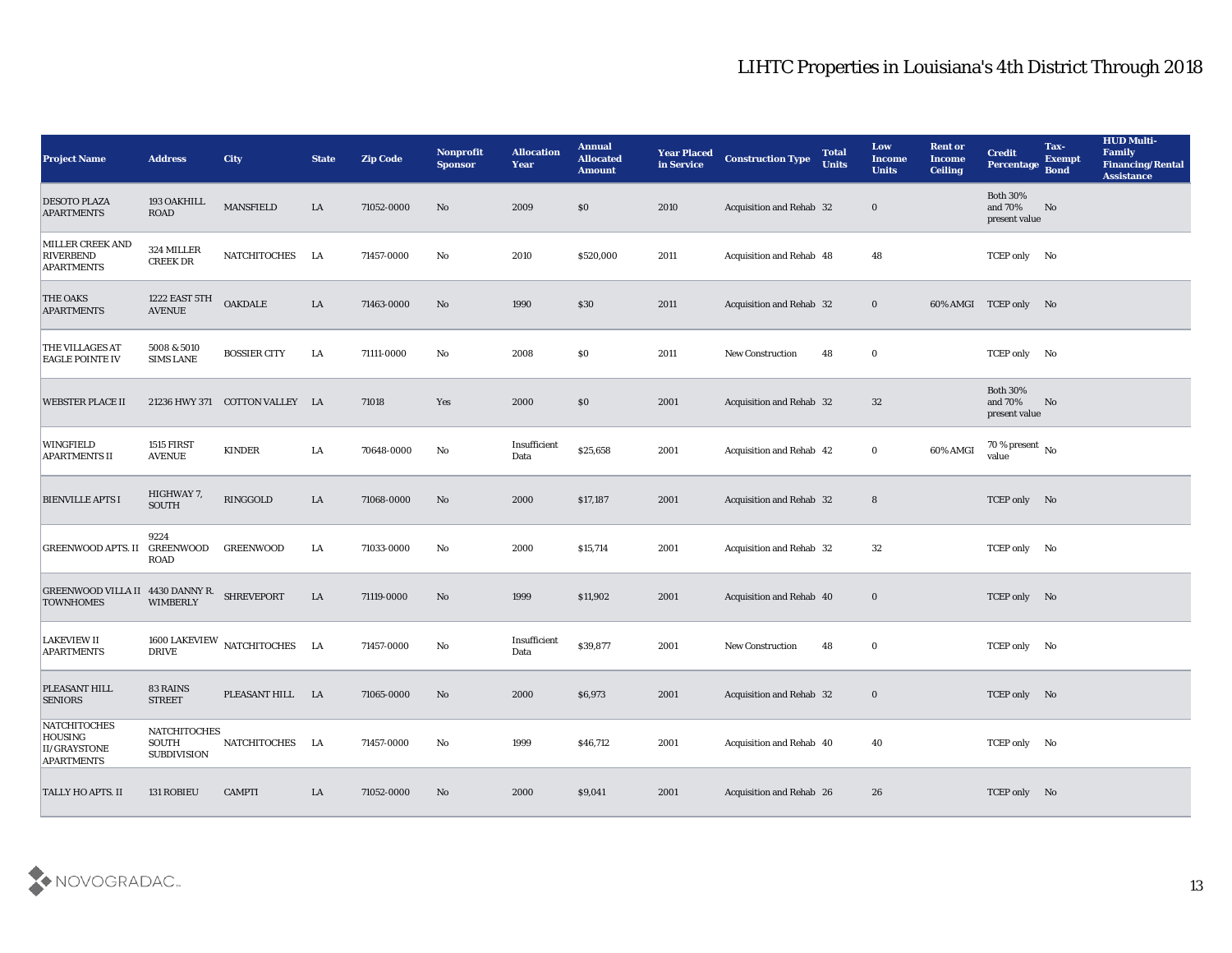| <b>Project Name</b>                                          | <b>Address</b>                              | <b>City</b>                    | <b>State</b> | <b>Zip Code</b> | Nonprofit<br><b>Sponsor</b> | <b>Allocation</b><br><b>Year</b> | <b>Annual</b><br><b>Allocated</b><br><b>Amount</b> | <b>Year Placed</b><br>in Service | <b>Construction Type</b>        | <b>Total</b><br><b>Units</b> | Low<br><b>Income</b><br><b>Units</b> | <b>Rent or</b><br>Income<br><b>Ceiling</b> | <b>Credit</b><br>Percentage                 | Tax-<br><b>Exempt</b><br><b>Bond</b> | <b>HUD Multi-</b><br>Family<br><b>Financing/Rental</b><br><b>Assistance</b> |
|--------------------------------------------------------------|---------------------------------------------|--------------------------------|--------------|-----------------|-----------------------------|----------------------------------|----------------------------------------------------|----------------------------------|---------------------------------|------------------------------|--------------------------------------|--------------------------------------------|---------------------------------------------|--------------------------------------|-----------------------------------------------------------------------------|
| <b>DESOTO PLAZA</b><br><b>APARTMENTS</b>                     | 193 OAKHILL<br><b>ROAD</b>                  | <b>MANSFIELD</b>               | LA           | 71052-0000      | No                          | 2009                             | \$0                                                | 2010                             | <b>Acquisition and Rehab 32</b> |                              | $\bf{0}$                             |                                            | <b>Both 30%</b><br>and 70%<br>present value | No                                   |                                                                             |
| MILLER CREEK AND<br><b>RIVERBEND</b><br><b>APARTMENTS</b>    | 324 MILLER<br><b>CREEK DR</b>               | NATCHITOCHES                   | LA           | 71457-0000      | No                          | 2010                             | \$520,000                                          | 2011                             | Acquisition and Rehab 48        |                              | 48                                   |                                            | TCEP only No                                |                                      |                                                                             |
| <b>THE OAKS</b><br><b>APARTMENTS</b>                         | 1222 EAST 5TH<br><b>AVENUE</b>              | <b>OAKDALE</b>                 | LA           | 71463-0000      | No                          | 1990                             | \$30                                               | 2011                             | <b>Acquisition and Rehab 32</b> |                              | $\bf{0}$                             |                                            | 60% AMGI TCEP only No                       |                                      |                                                                             |
| <b>THE VILLAGES AT</b><br><b>EAGLE POINTE IV</b>             | 5008 & 5010<br><b>SIMS LANE</b>             | <b>BOSSIER CITY</b>            | LA           | 71111-0000      | No                          | 2008                             | $\$0$                                              | 2011                             | <b>New Construction</b>         | 48                           | $\bf{0}$                             |                                            | TCEP only No                                |                                      |                                                                             |
| <b>WEBSTER PLACE II</b>                                      |                                             | 21236 HWY 371 COTTON VALLEY LA |              | 71018           | Yes                         | 2000                             | \$0                                                | 2001                             | Acquisition and Rehab 32        |                              | 32                                   |                                            | <b>Both 30%</b><br>and 70%<br>present value | No                                   |                                                                             |
| <b>WINGFIELD</b><br><b>APARTMENTS II</b>                     | 1515 FIRST<br><b>AVENUE</b>                 | <b>KINDER</b>                  | LA           | 70648-0000      | No                          | Insufficient<br>Data             | \$25,658                                           | 2001                             | Acquisition and Rehab 42        |                              | $\bf{0}$                             | 60% AMGI                                   | 70 % present $\,$ No $\,$<br>value          |                                      |                                                                             |
| <b>BIENVILLE APTS I</b>                                      | HIGHWAY 7,<br><b>SOUTH</b>                  | RINGGOLD                       | LA           | 71068-0000      | No                          | 2000                             | \$17,187                                           | 2001                             | Acquisition and Rehab 32        |                              | 8                                    |                                            | TCEP only No                                |                                      |                                                                             |
| <b>GREENWOOD APTS. II</b>                                    | 9224<br>GREENWOOD<br>ROAD                   | <b>GREENWOOD</b>               | LA           | 71033-0000      | No                          | 2000                             | \$15,714                                           | 2001                             | Acquisition and Rehab 32        |                              | 32                                   |                                            | TCEP only No                                |                                      |                                                                             |
| GREENWOOD VILLA II 4430 DANNY R.<br><b>TOWNHOMES</b>         | <b>WIMBERLY</b>                             | <b>SHREVEPORT</b>              | LA           | 71119-0000      | No                          | 1999                             | \$11,902                                           | 2001                             | Acquisition and Rehab 40        |                              | $\bf{0}$                             |                                            | TCEP only No                                |                                      |                                                                             |
| <b>LAKEVIEW II</b><br><b>APARTMENTS</b>                      | <b>DRIVE</b>                                | 1600 LAKEVIEW NATCHITOCHES LA  |              | 71457-0000      | No                          | Insufficient<br>Data             | \$39,877                                           | 2001                             | <b>New Construction</b>         | 48                           | $\bf{0}$                             |                                            | TCEP only No                                |                                      |                                                                             |
| PLEASANT HILL<br><b>SENIORS</b>                              | 83 RAINS<br><b>STREET</b>                   | PLEASANT HILL LA               |              | 71065-0000      | No                          | 2000                             | \$6,973                                            | 2001                             | <b>Acquisition and Rehab 32</b> |                              | $\bf{0}$                             |                                            | TCEP only No                                |                                      |                                                                             |
| NATCHITOCHES<br>HOUSING<br>II/GRAYSTONE<br><b>APARTMENTS</b> | NATCHITOCHES<br>SOUTH<br><b>SUBDIVISION</b> | NATCHITOCHES LA                |              | 71457-0000      | No                          | 1999                             | \$46,712                                           | 2001                             | Acquisition and Rehab 40        |                              | 40                                   |                                            | TCEP only No                                |                                      |                                                                             |
| <b>TALLY HO APTS. II</b>                                     | 131 ROBIEU                                  | <b>CAMPTI</b>                  | LA           | 71052-0000      | No                          | 2000                             | \$9,041                                            | 2001                             | Acquisition and Rehab 26        |                              | 26                                   |                                            | TCEP only No                                |                                      |                                                                             |

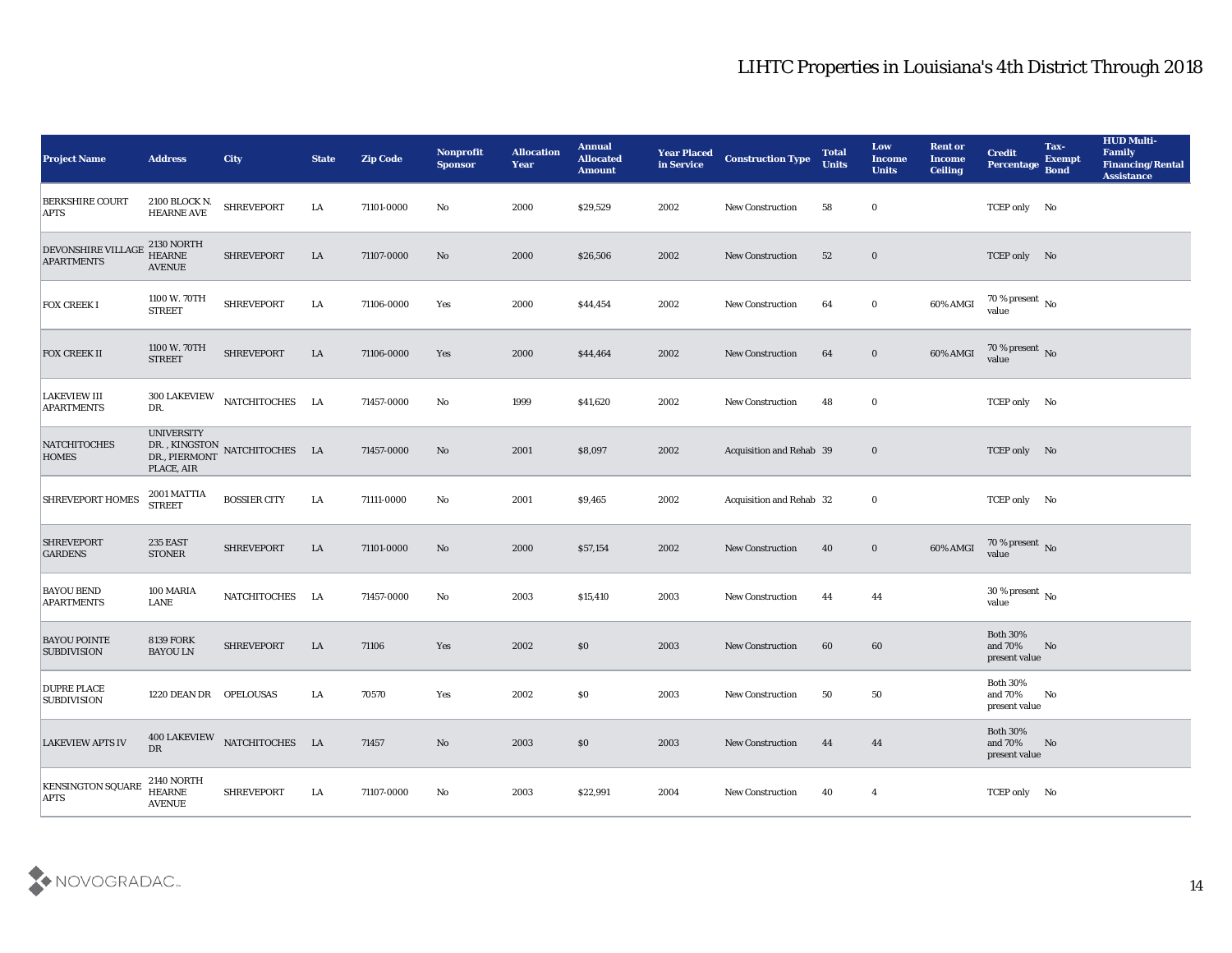| <b>Project Name</b>                            | <b>Address</b>                                      | <b>City</b>                                  | <b>State</b> | <b>Zip Code</b> | Nonprofit<br><b>Sponsor</b> | <b>Allocation</b><br><b>Year</b> | <b>Annual</b><br><b>Allocated</b><br><b>Amount</b> | <b>Year Placed</b><br>in Service | <b>Construction Type</b>        | <b>Total</b><br><b>Units</b> | Low<br><b>Income</b><br><b>Units</b> | <b>Rent or</b><br><b>Income</b><br><b>Ceiling</b> | <b>Credit</b><br>Percentage                               | Tax-<br><b>Exempt</b><br><b>Bond</b> | <b>HUD Multi-</b><br><b>Family</b><br><b>Financing/Rental</b><br><b>Assistance</b> |
|------------------------------------------------|-----------------------------------------------------|----------------------------------------------|--------------|-----------------|-----------------------------|----------------------------------|----------------------------------------------------|----------------------------------|---------------------------------|------------------------------|--------------------------------------|---------------------------------------------------|-----------------------------------------------------------|--------------------------------------|------------------------------------------------------------------------------------|
| <b>BERKSHIRE COURT</b><br><b>APTS</b>          | 2100 BLOCK N.<br><b>HEARNE AVE</b>                  | <b>SHREVEPORT</b>                            | LA           | 71101-0000      | No                          | 2000                             | \$29,529                                           | 2002                             | <b>New Construction</b>         | 58                           | $\bf{0}$                             |                                                   | TCEP only No                                              |                                      |                                                                                    |
| <b>DEVONSHIRE VILLAGE</b><br><b>APARTMENTS</b> | <b>2130 NORTH</b><br><b>HEARNE</b><br><b>AVENUE</b> | <b>SHREVEPORT</b>                            | LA           | 71107-0000      | No                          | 2000                             | \$26,506                                           | 2002                             | <b>New Construction</b>         | 52                           | $\bf{0}$                             |                                                   | TCEP only No                                              |                                      |                                                                                    |
| <b>FOX CREEK I</b>                             | 1100 W. 70TH<br><b>STREET</b>                       | <b>SHREVEPORT</b>                            | LA           | 71106-0000      | Yes                         | 2000                             | \$44,454                                           | 2002                             | <b>New Construction</b>         | 64                           | $\bf{0}$                             | 60% AMGI                                          | 70 % present No<br>value                                  |                                      |                                                                                    |
| <b>FOX CREEK II</b>                            | 1100 W. 70TH<br><b>STREET</b>                       | <b>SHREVEPORT</b>                            | LA           | 71106-0000      | Yes                         | 2000                             | \$44,464                                           | 2002                             | <b>New Construction</b>         | 64                           | $\bf{0}$                             | 60% AMGI                                          | 70 % present No<br>value                                  |                                      |                                                                                    |
| <b>LAKEVIEW III</b><br><b>APARTMENTS</b>       | <b>300 LAKEVIEW</b><br>DR.                          | NATCHITOCHES LA                              |              | 71457-0000      | No                          | 1999                             | \$41,620                                           | 2002                             | <b>New Construction</b>         | 48                           | $\bf{0}$                             |                                                   | TCEP only No                                              |                                      |                                                                                    |
| <b>NATCHITOCHES</b><br><b>HOMES</b>            | <b>UNIVERSITY</b><br>PLACE, AIR                     | DR. , KINGSTON NATCHITOCHES LA DR., PIERMONT |              | 71457-0000      | No                          | 2001                             | \$8,097                                            | 2002                             | Acquisition and Rehab 39        |                              | $\bf{0}$                             |                                                   | TCEP only No                                              |                                      |                                                                                    |
| <b>SHREVEPORT HOMES</b>                        | 2001 MATTIA<br><b>STREET</b>                        | <b>BOSSIER CITY</b>                          | LA           | 71111-0000      | No                          | 2001                             | \$9,465                                            | 2002                             | <b>Acquisition and Rehab 32</b> |                              | $\bf{0}$                             |                                                   | TCEP only No                                              |                                      |                                                                                    |
| <b>SHREVEPORT</b><br><b>GARDENS</b>            | 235 EAST<br><b>STONER</b>                           | <b>SHREVEPORT</b>                            | LA           | 71101-0000      | No                          | 2000                             | \$57,154                                           | 2002                             | <b>New Construction</b>         | 40                           | $\bf{0}$                             | 60% AMGI                                          | 70 % present No<br>value                                  |                                      |                                                                                    |
| <b>BAYOU BEND</b><br><b>APARTMENTS</b>         | 100 MARIA<br>LANE                                   | NATCHITOCHES                                 | LA           | 71457-0000      | No                          | 2003                             | \$15,410                                           | 2003                             | <b>New Construction</b>         | 44                           | 44                                   |                                                   | $30\,\%$ present $\,$ No $\,$<br>value                    |                                      |                                                                                    |
| <b>BAYOU POINTE</b><br><b>SUBDIVISION</b>      | <b>8139 FORK</b><br><b>BAYOU LN</b>                 | <b>SHREVEPORT</b>                            | LA           | 71106           | Yes                         | 2002                             | \$0                                                | 2003                             | <b>New Construction</b>         | 60                           | 60                                   |                                                   | <b>Both 30%</b><br>and 70%<br>present value               | No                                   |                                                                                    |
| <b>DUPRE PLACE</b><br><b>SUBDIVISION</b>       | 1220 DEAN DR OPELOUSAS                              |                                              | LA           | 70570           | Yes                         | 2002                             | \$0                                                | 2003                             | <b>New Construction</b>         | 50                           | 50                                   |                                                   | <b>Both 30%</b><br>and 70%<br>present value               | No                                   |                                                                                    |
| <b>LAKEVIEW APTS IV</b>                        | DR                                                  | $400$ LAKEVIEW NATCHITOCHES LA               |              | 71457           | $\rm\thinspace No$          | 2003                             | $\$0$                                              | 2003                             | <b>New Construction</b>         | 44                           | 44                                   |                                                   | <b>Both 30%</b><br>and $70\%$ $~$ No $~$<br>present value |                                      |                                                                                    |
| <b>KENSINGTON SQUARE</b><br><b>APTS</b>        | 2140 NORTH<br>HEARNE<br><b>AVENUE</b>               | SHREVEPORT                                   | LA           | 71107-0000      | $\mathbf{N}\mathbf{o}$      | 2003                             | \$22,991                                           | 2004                             | <b>New Construction</b>         | 40                           | $\overline{\mathbf{4}}$              |                                                   | TCEP only No                                              |                                      |                                                                                    |

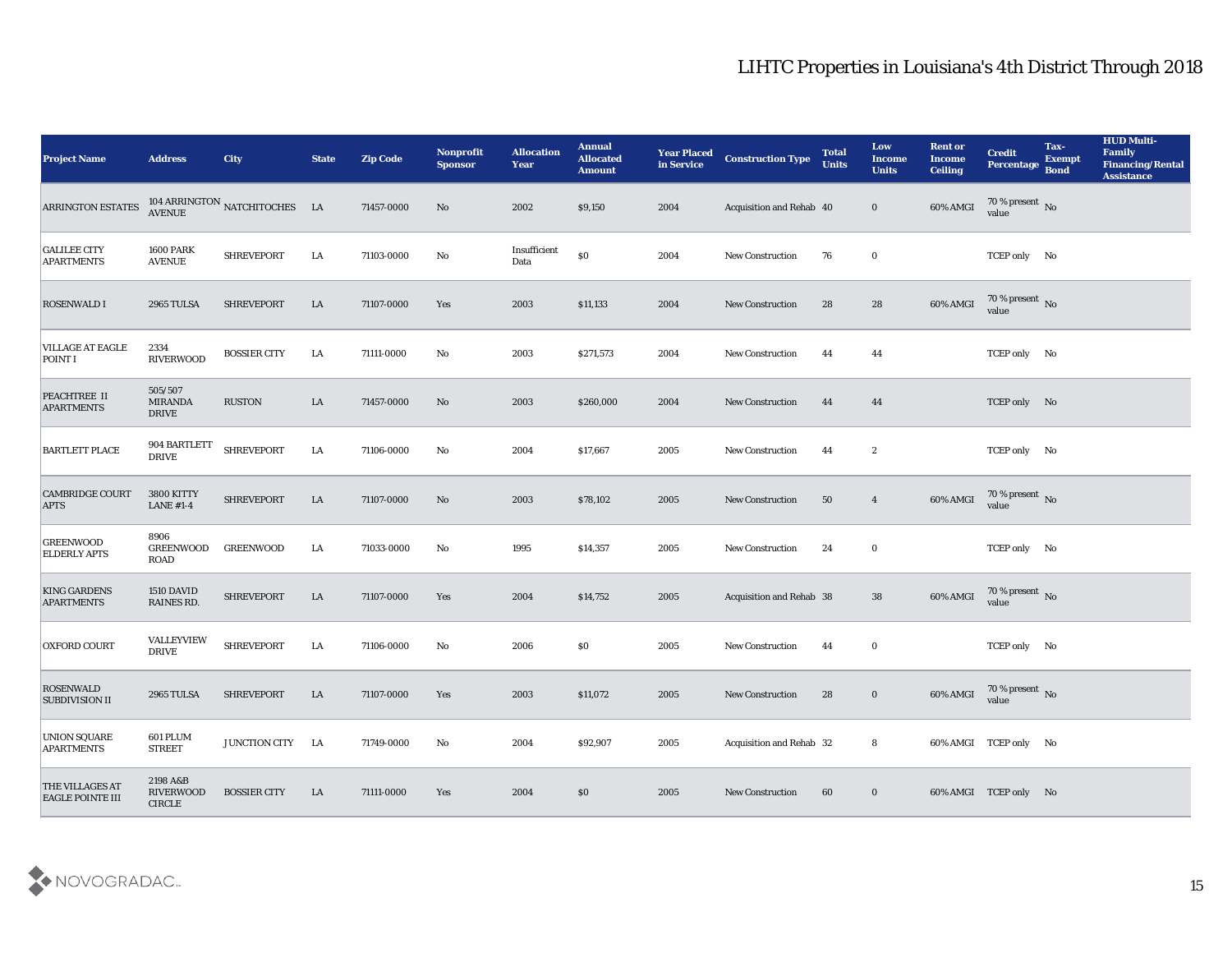| <b>Project Name</b>                        | <b>Address</b>                                | <b>City</b>                          | <b>State</b> | <b>Zip Code</b> | Nonprofit<br><b>Sponsor</b> | <b>Allocation</b><br><b>Year</b> | <b>Annual</b><br><b>Allocated</b><br><b>Amount</b> | <b>Year Placed</b><br>in Service | <b>Construction Type</b>        | <b>Total</b><br><b>Units</b> | Low<br><b>Income</b><br><b>Units</b> | <b>Rent or</b><br><b>Income</b><br><b>Ceiling</b> | <b>Credit</b><br>Percentage    | Tax-<br><b>Exempt</b><br><b>Bond</b> | <b>HUD Multi-</b><br>Family<br><b>Financing/Rental</b><br><b>Assistance</b> |
|--------------------------------------------|-----------------------------------------------|--------------------------------------|--------------|-----------------|-----------------------------|----------------------------------|----------------------------------------------------|----------------------------------|---------------------------------|------------------------------|--------------------------------------|---------------------------------------------------|--------------------------------|--------------------------------------|-----------------------------------------------------------------------------|
| ARRINGTON ESTATES                          |                                               | 104 ARRINGTON NATCHITOCHES LA AVENUE |              | 71457-0000      | No                          | 2002                             | \$9,150                                            | 2004                             | Acquisition and Rehab 40        |                              | $\bf{0}$                             | 60% AMGI                                          | $70\,\%$ present $\,$ No value |                                      |                                                                             |
| <b>GALILEE CITY</b><br><b>APARTMENTS</b>   | <b>1600 PARK</b><br><b>AVENUE</b>             | SHREVEPORT                           | LA           | 71103-0000      | No                          | Insufficient<br>Data             | $\$0$                                              | 2004                             | <b>New Construction</b>         | 76                           | $\bf{0}$                             |                                                   | TCEP only No                   |                                      |                                                                             |
| <b>ROSENWALD I</b>                         | <b>2965 TULSA</b>                             | <b>SHREVEPORT</b>                    | LA           | 71107-0000      | Yes                         | 2003                             | \$11,133                                           | 2004                             | <b>New Construction</b>         | 28                           | 28                                   | 60% AMGI                                          | $70\%$ present No<br>value     |                                      |                                                                             |
| <b>VILLAGE AT EAGLE</b><br>POINT I         | 2334<br><b>RIVERWOOD</b>                      | <b>BOSSIER CITY</b>                  | LA           | 71111-0000      | No                          | 2003                             | \$271,573                                          | 2004                             | <b>New Construction</b>         | 44                           | 44                                   |                                                   | TCEP only No                   |                                      |                                                                             |
| PEACHTREE II<br><b>APARTMENTS</b>          | 505/507<br><b>MIRANDA</b><br><b>DRIVE</b>     | <b>RUSTON</b>                        | LA           | 71457-0000      | No                          | 2003                             | \$260,000                                          | 2004                             | <b>New Construction</b>         | 44                           | 44                                   |                                                   | TCEP only No                   |                                      |                                                                             |
| <b>BARTLETT PLACE</b>                      | 904 BARTLETT<br><b>DRIVE</b>                  | <b>SHREVEPORT</b>                    | LA           | 71106-0000      | No                          | 2004                             | \$17,667                                           | 2005                             | <b>New Construction</b>         | 44                           | $\boldsymbol{2}$                     |                                                   | TCEP only No                   |                                      |                                                                             |
| <b>CAMBRIDGE COURT</b><br><b>APTS</b>      | 3800 KITTY<br><b>LANE #1-4</b>                | <b>SHREVEPORT</b>                    | LA           | 71107-0000      | No                          | 2003                             | \$78,102                                           | 2005                             | <b>New Construction</b>         | 50                           | $\overline{4}$                       | 60% AMGI                                          | 70 % present No<br>value       |                                      |                                                                             |
| <b>GREENWOOD</b><br><b>ELDERLY APTS</b>    | 8906<br><b>GREENWOOD</b><br>ROAD              | <b>GREENWOOD</b>                     | LA           | 71033-0000      | No                          | 1995                             | \$14,357                                           | 2005                             | <b>New Construction</b>         | 24                           | $\bf{0}$                             |                                                   | TCEP only No                   |                                      |                                                                             |
| <b>KING GARDENS</b><br><b>APARTMENTS</b>   | 1510 DAVID<br>RAINES RD.                      | <b>SHREVEPORT</b>                    | LA           | 71107-0000      | Yes                         | 2004                             | \$14,752                                           | 2005                             | <b>Acquisition and Rehab 38</b> |                              | 38                                   | 60% AMGI                                          | $70\,\%$ present $\,$ No value |                                      |                                                                             |
| <b>OXFORD COURT</b>                        | VALLEYVIEW<br><b>DRIVE</b>                    | <b>SHREVEPORT</b>                    | LA           | 71106-0000      | No                          | 2006                             | \$0                                                | 2005                             | <b>New Construction</b>         | 44                           | $\bf{0}$                             |                                                   | TCEP only No                   |                                      |                                                                             |
| <b>ROSENWALD</b><br><b>SUBDIVISION II</b>  | 2965 TULSA                                    | <b>SHREVEPORT</b>                    | LA           | 71107-0000      | Yes                         | 2003                             | \$11,072                                           | 2005                             | <b>New Construction</b>         | 28                           | $\bf{0}$                             | 60% AMGI                                          | 70 % present No<br>value       |                                      |                                                                             |
| <b>UNION SQUARE</b><br><b>APARTMENTS</b>   | 601 PLUM<br><b>STREET</b>                     | JUNCTION CITY LA                     |              | 71749-0000      | No                          | 2004                             | \$92,907                                           | 2005                             | Acquisition and Rehab 32        |                              | 8                                    |                                                   | 60% AMGI TCEP only No          |                                      |                                                                             |
| THE VILLAGES AT<br><b>EAGLE POINTE III</b> | 2198 A&B<br><b>RIVERWOOD</b><br><b>CIRCLE</b> | <b>BOSSIER CITY</b>                  | LA           | 71111-0000      | Yes                         | 2004                             | \$0                                                | 2005                             | New Construction                | 60                           | $\bf{0}$                             |                                                   | 60% AMGI TCEP only No          |                                      |                                                                             |

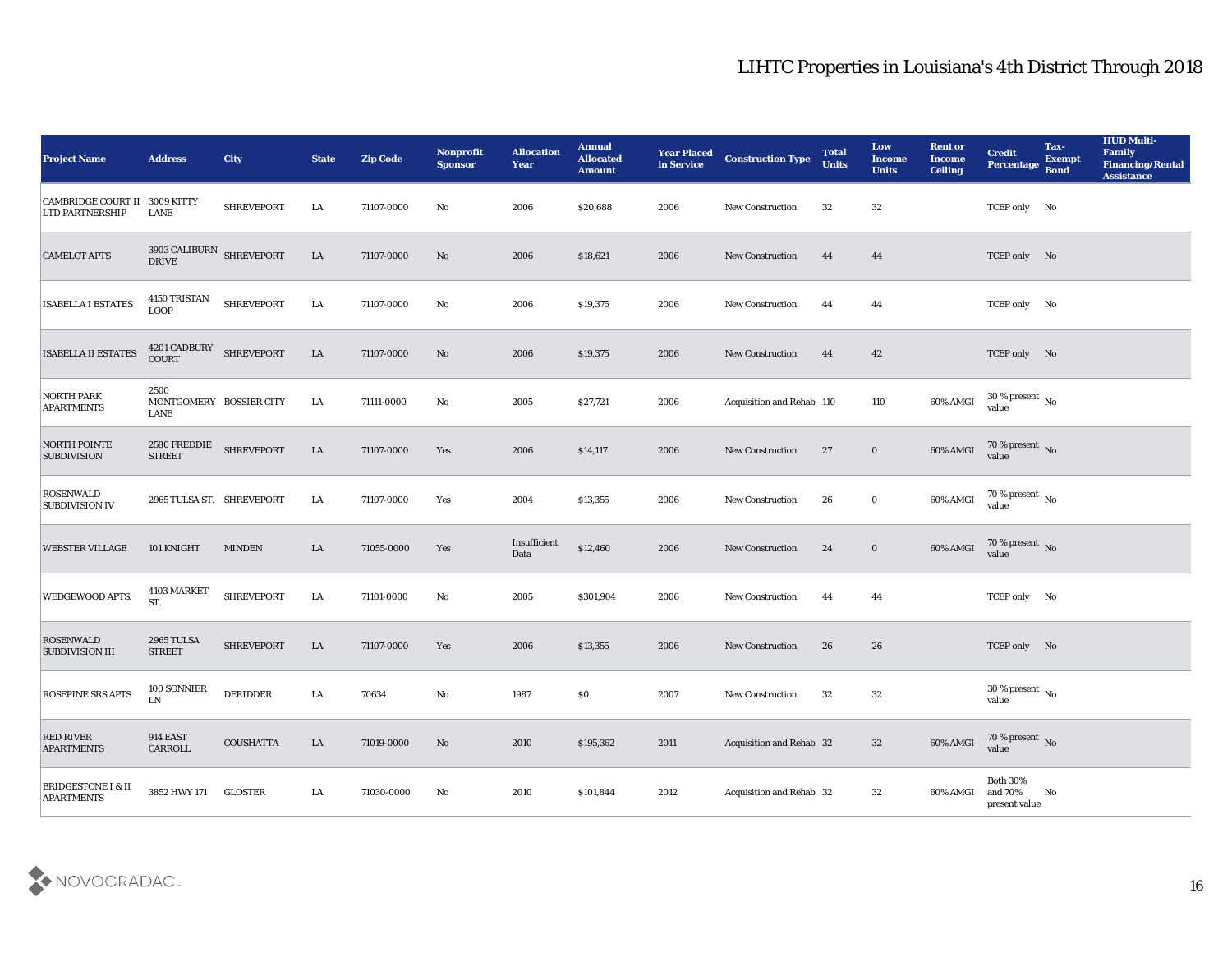| <b>Project Name</b>                                | <b>Address</b>                           | <b>City</b>       | <b>State</b> | <b>Zip Code</b> | <b>Nonprofit</b><br><b>Sponsor</b> | <b>Allocation</b><br><b>Year</b> | <b>Annual</b><br><b>Allocated</b><br><b>Amount</b> | <b>Year Placed</b><br>in Service | <b>Construction Type</b>  | <b>Total</b><br><b>Units</b> | Low<br>Income<br><b>Units</b> | <b>Rent or</b><br><b>Income</b><br><b>Ceiling</b> | <b>Credit</b><br><b>Percentage</b>         | Tax-<br><b>Exempt</b><br><b>Bond</b> | <b>HUD Multi-</b><br>Family<br><b>Financing/Rental</b><br><b>Assistance</b> |
|----------------------------------------------------|------------------------------------------|-------------------|--------------|-----------------|------------------------------------|----------------------------------|----------------------------------------------------|----------------------------------|---------------------------|------------------------------|-------------------------------|---------------------------------------------------|--------------------------------------------|--------------------------------------|-----------------------------------------------------------------------------|
| <b>CAMBRIDGE COURT II</b><br>LTD PARTNERSHIP       | 3009 KITTY<br>LANE                       | <b>SHREVEPORT</b> | LA           | 71107-0000      | No                                 | 2006                             | \$20,688                                           | 2006                             | <b>New Construction</b>   | 32                           | 32                            |                                                   | TCEP only No                               |                                      |                                                                             |
| <b>CAMELOT APTS</b>                                | 3903 CALIBURN SHREVEPORT<br><b>DRIVE</b> |                   | LA           | 71107-0000      | No                                 | 2006                             | \$18,621                                           | 2006                             | <b>New Construction</b>   | 44                           | 44                            |                                                   | TCEP only No                               |                                      |                                                                             |
| <b>ISABELLA I ESTATES</b>                          | 4150 TRISTAN<br><b>LOOP</b>              | <b>SHREVEPORT</b> | LA           | 71107-0000      | No                                 | 2006                             | \$19,375                                           | 2006                             | New Construction          | 44                           | 44                            |                                                   | TCEP only No                               |                                      |                                                                             |
| <b>ISABELLA II ESTATES</b>                         | 4201 CADBURY<br>COURT                    | <b>SHREVEPORT</b> | LA           | 71107-0000      | No                                 | 2006                             | \$19,375                                           | 2006                             | <b>New Construction</b>   | 44                           | 42                            |                                                   | TCEP only No                               |                                      |                                                                             |
| <b>NORTH PARK</b><br><b>APARTMENTS</b>             | 2500<br>MONTGOMERY BOSSIER CITY<br>LANE  |                   | LA           | 71111-0000      | No                                 | 2005                             | \$27,721                                           | 2006                             | Acquisition and Rehab 110 |                              | 110                           | 60% AMGI                                          | $30\,\%$ present $\,$ No $\,$<br>value     |                                      |                                                                             |
| <b>NORTH POINTE</b><br><b>SUBDIVISION</b>          | 2580 FREDDIE<br><b>STREET</b>            | <b>SHREVEPORT</b> | LA           | 71107-0000      | Yes                                | 2006                             | \$14,117                                           | 2006                             | <b>New Construction</b>   | 27                           | $\bf{0}$                      | 60% AMGI                                          | $70\,\%$ present $\,$ No value             |                                      |                                                                             |
| <b>ROSENWALD</b><br><b>SUBDIVISION IV</b>          | 2965 TULSA ST. SHREVEPORT                |                   | LA           | 71107-0000      | Yes                                | 2004                             | \$13,355                                           | 2006                             | <b>New Construction</b>   | 26                           | $\bf{0}$                      | 60% AMGI                                          | 70 % present No<br>value                   |                                      |                                                                             |
| <b>WEBSTER VILLAGE</b>                             | 101 KNIGHT                               | <b>MINDEN</b>     | LA           | 71055-0000      | Yes                                | Insufficient<br>Data             | \$12,460                                           | 2006                             | <b>New Construction</b>   | 24                           | $\bf{0}$                      | 60% AMGI                                          | $70$ % present $${\rm No}$$ value          |                                      |                                                                             |
| WEDGEWOOD APTS.                                    | 4103 MARKET<br>ST.                       | <b>SHREVEPORT</b> | LA           | 71101-0000      | No                                 | 2005                             | \$301,904                                          | 2006                             | <b>New Construction</b>   | 44                           | 44                            |                                                   | TCEP only No                               |                                      |                                                                             |
| <b>ROSENWALD</b><br><b>SUBDIVISION III</b>         | <b>2965 TULSA</b><br><b>STREET</b>       | <b>SHREVEPORT</b> | LA           | 71107-0000      | Yes                                | 2006                             | \$13,355                                           | 2006                             | <b>New Construction</b>   | 26                           | 26                            |                                                   | TCEP only No                               |                                      |                                                                             |
| <b>ROSEPINE SRS APTS</b>                           | 100 SONNIER<br>LN                        | <b>DERIDDER</b>   | LA           | 70634           | No                                 | 1987                             | \$0                                                | 2007                             | <b>New Construction</b>   | 32                           | 32                            |                                                   | 30 % present $\,$ No $\,$<br>value         |                                      |                                                                             |
| <b>RED RIVER</b><br><b>APARTMENTS</b>              | <b>914 EAST</b><br>CARROLL               | <b>COUSHATTA</b>  | ${\rm LA}$   | 71019-0000      | $\mathbf {No}$                     | 2010                             | \$195,362                                          | 2011                             | Acquisition and Rehab 32  |                              | 32                            | 60% AMGI                                          | $70\,\%$ present $\,$ No value             |                                      |                                                                             |
| <b>BRIDGESTONE I &amp; II</b><br><b>APARTMENTS</b> | 3852 HWY 171                             | <b>GLOSTER</b>    | LA           | 71030-0000      | $\mathbf {No}$                     | 2010                             | \$101,844                                          | 2012                             | Acquisition and Rehab 32  |                              | $32\,$                        | 60% AMGI                                          | Both $30\%$<br>and $70\%$<br>present value | No                                   |                                                                             |

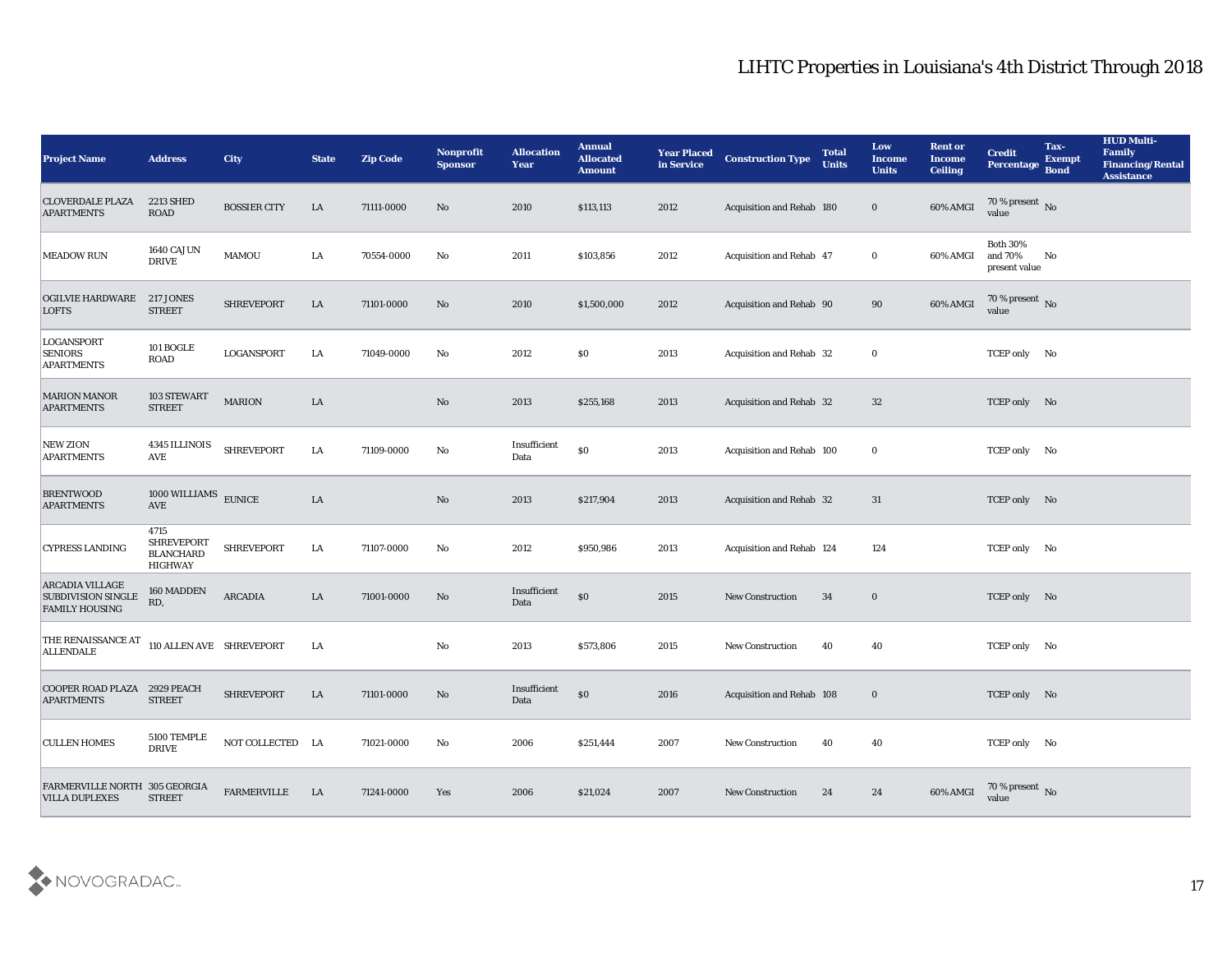| <b>Project Name</b>                                                          | <b>Address</b>                                                  | <b>City</b>         | <b>State</b> | <b>Zip Code</b> | Nonprofit<br><b>Sponsor</b> | <b>Allocation</b><br><b>Year</b> | <b>Annual</b><br><b>Allocated</b><br><b>Amount</b> | <b>Year Placed</b><br>in Service | <b>Construction Type</b>         | <b>Total</b><br><b>Units</b> | Low<br><b>Income</b><br><b>Units</b> | <b>Rent or</b><br>Income<br><b>Ceiling</b> | <b>Credit</b><br>Percentage                 | Tax-<br><b>Exempt</b><br><b>Bond</b> | <b>HUD Multi-</b><br>Family<br><b>Financing/Rental</b><br><b>Assistance</b> |
|------------------------------------------------------------------------------|-----------------------------------------------------------------|---------------------|--------------|-----------------|-----------------------------|----------------------------------|----------------------------------------------------|----------------------------------|----------------------------------|------------------------------|--------------------------------------|--------------------------------------------|---------------------------------------------|--------------------------------------|-----------------------------------------------------------------------------|
| <b>CLOVERDALE PLAZA</b><br><b>APARTMENTS</b>                                 | <b>2213 SHED</b><br><b>ROAD</b>                                 | <b>BOSSIER CITY</b> | LA           | 71111-0000      | No                          | 2010                             | \$113,113                                          | 2012                             | Acquisition and Rehab 180        |                              | $\bf{0}$                             | 60% AMGI                                   | 70 % present No<br>value                    |                                      |                                                                             |
| <b>MEADOW RUN</b>                                                            | 1640 CAJUN<br><b>DRIVE</b>                                      | <b>MAMOU</b>        | LA           | 70554-0000      | No                          | 2011                             | \$103,856                                          | 2012                             | <b>Acquisition and Rehab 47</b>  |                              | $\bf{0}$                             | 60% AMGI                                   | <b>Both 30%</b><br>and 70%<br>present value | No                                   |                                                                             |
| <b>OGILVIE HARDWARE</b><br><b>LOFTS</b>                                      | 217 JONES<br><b>STREET</b>                                      | <b>SHREVEPORT</b>   | LA           | 71101-0000      | No                          | 2010                             | \$1,500,000                                        | 2012                             | Acquisition and Rehab 90         |                              | 90                                   | 60% AMGI                                   | 70 % present No<br>value                    |                                      |                                                                             |
| <b>LOGANSPORT</b><br><b>SENIORS</b><br><b>APARTMENTS</b>                     | 101 BOGLE<br><b>ROAD</b>                                        | LOGANSPORT          | LA           | 71049-0000      | No                          | 2012                             | \$0                                                | 2013                             | Acquisition and Rehab 32         |                              | $\bf{0}$                             |                                            | TCEP only No                                |                                      |                                                                             |
| <b>MARION MANOR</b><br><b>APARTMENTS</b>                                     | 103 STEWART<br><b>STREET</b>                                    | <b>MARION</b>       | LA           |                 | No                          | 2013                             | \$255,168                                          | 2013                             | <b>Acquisition and Rehab 32</b>  |                              | 32                                   |                                            | TCEP only No                                |                                      |                                                                             |
| <b>NEW ZION</b><br><b>APARTMENTS</b>                                         | 4345 ILLINOIS<br>AVE                                            | <b>SHREVEPORT</b>   | LA           | 71109-0000      | No                          | Insufficient<br>Data             | \$0                                                | 2013                             | Acquisition and Rehab 100        |                              | $\bf{0}$                             |                                            | TCEP only No                                |                                      |                                                                             |
| <b>BRENTWOOD</b><br><b>APARTMENTS</b>                                        | $1000$ WILLIAMS $\,$ EUNICE<br><b>AVE</b>                       |                     | ${\rm LA}$   |                 | No                          | 2013                             | \$217,904                                          | 2013                             | Acquisition and Rehab 32         |                              | 31                                   |                                            | TCEP only No                                |                                      |                                                                             |
| <b>CYPRESS LANDING</b>                                                       | 4715<br><b>SHREVEPORT</b><br><b>BLANCHARD</b><br><b>HIGHWAY</b> | <b>SHREVEPORT</b>   | LA           | 71107-0000      | No                          | 2012                             | \$950,986                                          | 2013                             | <b>Acquisition and Rehab 124</b> |                              | 124                                  |                                            | TCEP only No                                |                                      |                                                                             |
| <b>ARCADIA VILLAGE</b><br><b>SUBDIVISION SINGLE</b><br><b>FAMILY HOUSING</b> | 160 MADDEN<br>RD,                                               | <b>ARCADIA</b>      | LA           | 71001-0000      | No                          | Insufficient<br>Data             | \$0                                                | 2015                             | New Construction                 | 34                           | $\bf{0}$                             |                                            | TCEP only No                                |                                      |                                                                             |
| THE RENAISSANCE AT<br><b>ALLENDALE</b>                                       | 110 ALLEN AVE SHREVEPORT                                        |                     | LA           |                 | No                          | 2013                             | \$573,806                                          | 2015                             | <b>New Construction</b>          | 40                           | 40                                   |                                            | TCEP only No                                |                                      |                                                                             |
| COOPER ROAD PLAZA 2929 PEACH<br><b>APARTMENTS</b>                            | <b>STREET</b>                                                   | <b>SHREVEPORT</b>   | LA           | 71101-0000      | No                          | Insufficient<br>Data             | \$0                                                | 2016                             | Acquisition and Rehab 108        |                              | $\bf{0}$                             |                                            | TCEP only No                                |                                      |                                                                             |
| <b>CULLEN HOMES</b>                                                          | 5100 TEMPLE<br><b>DRIVE</b>                                     | NOT COLLECTED LA    |              | 71021-0000      | $\rm\thinspace No$          | 2006                             | \$251,444                                          | 2007                             | New Construction                 | 40                           | 40                                   |                                            | TCEP only No                                |                                      |                                                                             |
| FARMERVILLE NORTH 305 GEORGIA<br><b>VILLA DUPLEXES</b>                       | <b>STREET</b>                                                   | <b>FARMERVILLE</b>  | LA           | 71241-0000      | Yes                         | 2006                             | \$21,024                                           | 2007                             | <b>New Construction</b>          | 24                           | 24                                   | 60% AMGI                                   | 70 % present No<br>value                    |                                      |                                                                             |

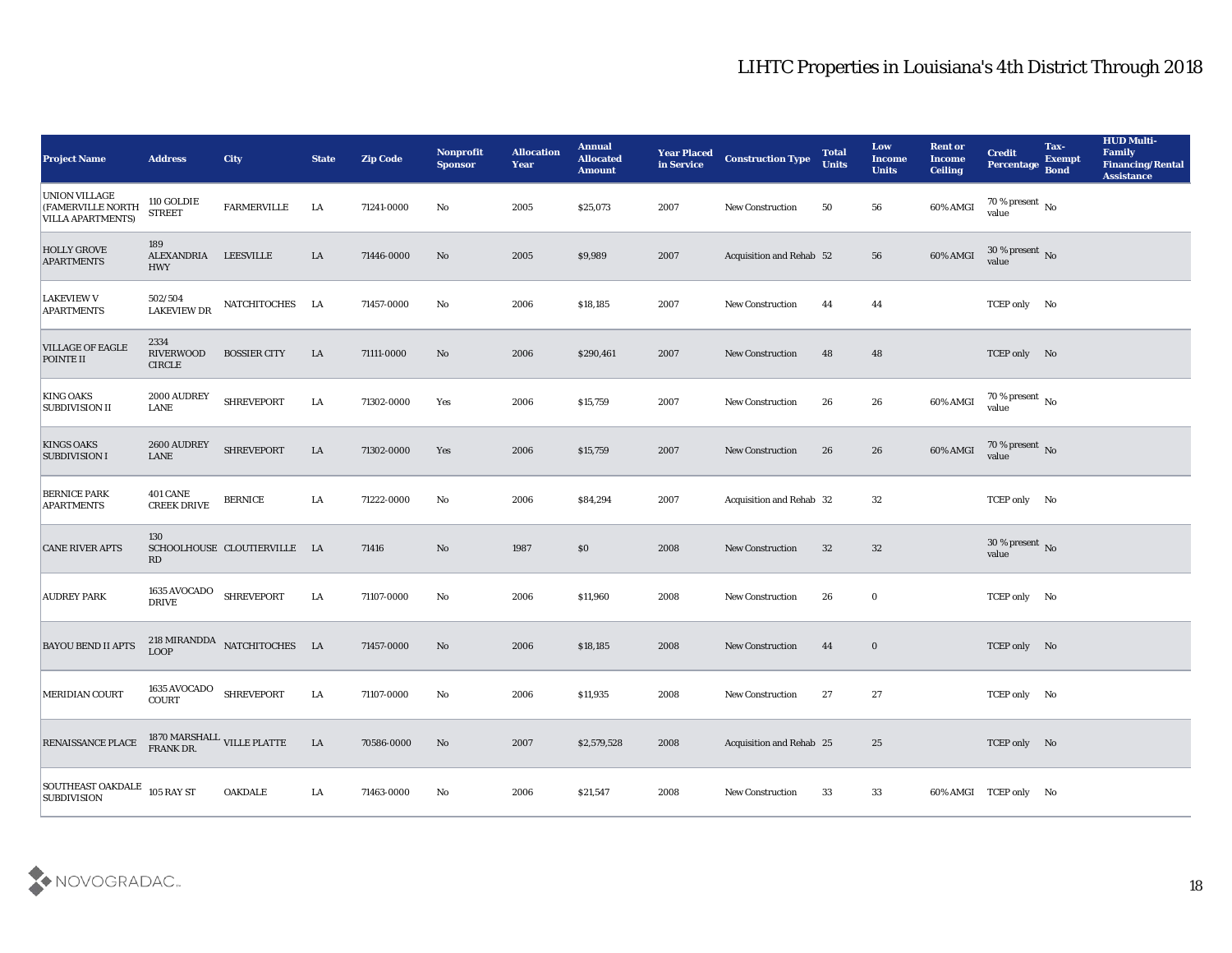| <b>Project Name</b>                                                   | <b>Address</b>                            | <b>City</b>                  | <b>State</b> | <b>Zip Code</b> | Nonprofit<br><b>Sponsor</b> | <b>Allocation</b><br><b>Year</b> | <b>Annual</b><br><b>Allocated</b><br><b>Amount</b> | <b>Year Placed</b><br>in Service | <b>Construction Type</b>        | <b>Total</b><br><b>Units</b> | Low<br><b>Income</b><br><b>Units</b> | <b>Rent or</b><br><b>Income</b><br><b>Ceiling</b> | <b>Credit</b><br>Percentage            | Tax-<br><b>Exempt</b><br><b>Bond</b> | <b>HUD Multi-</b><br>Family<br><b>Financing/Rental</b><br><b>Assistance</b> |
|-----------------------------------------------------------------------|-------------------------------------------|------------------------------|--------------|-----------------|-----------------------------|----------------------------------|----------------------------------------------------|----------------------------------|---------------------------------|------------------------------|--------------------------------------|---------------------------------------------------|----------------------------------------|--------------------------------------|-----------------------------------------------------------------------------|
| <b>UNION VILLAGE</b><br>(FAMERVILLE NORTH<br><b>VILLA APARTMENTS)</b> | 110 GOLDIE<br><b>STREET</b>               | <b>FARMERVILLE</b>           | LA           | 71241-0000      | No                          | 2005                             | \$25,073                                           | 2007                             | <b>New Construction</b>         | 50                           | 56                                   | 60% AMGI                                          | 70 % present $\,$ No $\,$<br>value     |                                      |                                                                             |
| <b>HOLLY GROVE</b><br><b>APARTMENTS</b>                               | 189<br>ALEXANDRIA LEESVILLE<br><b>HWY</b> |                              | LA           | 71446-0000      | No                          | 2005                             | \$9,989                                            | 2007                             | <b>Acquisition and Rehab 52</b> |                              | 56                                   | 60% AMGI                                          | $30\,\%$ present $\,$ No value         |                                      |                                                                             |
| <b>LAKEVIEW V</b><br><b>APARTMENTS</b>                                | 502/504<br><b>LAKEVIEW DR</b>             | NATCHITOCHES                 | <b>LA</b>    | 71457-0000      | No                          | 2006                             | \$18,185                                           | 2007                             | <b>New Construction</b>         | 44                           | 44                                   |                                                   | TCEP only No                           |                                      |                                                                             |
| <b>VILLAGE OF EAGLE</b><br>POINTE II                                  | 2334<br><b>RIVERWOOD</b><br><b>CIRCLE</b> | <b>BOSSIER CITY</b>          | ${\rm LA}$   | 71111-0000      | No                          | 2006                             | \$290,461                                          | 2007                             | <b>New Construction</b>         | 48                           | 48                                   |                                                   | TCEP only No                           |                                      |                                                                             |
| <b>KING OAKS</b><br><b>SUBDIVISION II</b>                             | 2000 AUDREY<br>LANE                       | <b>SHREVEPORT</b>            | LA           | 71302-0000      | Yes                         | 2006                             | \$15,759                                           | 2007                             | <b>New Construction</b>         | 26                           | 26                                   | 60% AMGI                                          | 70 % present $\sqrt{\ }$ No<br>value   |                                      |                                                                             |
| <b>KINGS OAKS</b><br><b>SUBDIVISION I</b>                             | 2600 AUDREY<br><b>LANE</b>                | <b>SHREVEPORT</b>            | LA           | 71302-0000      | Yes                         | 2006                             | \$15,759                                           | 2007                             | <b>New Construction</b>         | 26                           | 26                                   | 60% AMGI                                          | 70 % present No<br>value               |                                      |                                                                             |
| <b>BERNICE PARK</b><br><b>APARTMENTS</b>                              | <b>401 CANE</b><br><b>CREEK DRIVE</b>     | <b>BERNICE</b>               | LA           | 71222-0000      | No                          | 2006                             | \$84,294                                           | 2007                             | Acquisition and Rehab 32        |                              | 32                                   |                                                   | TCEP only No                           |                                      |                                                                             |
| <b>CANE RIVER APTS</b>                                                | 130<br><b>RD</b>                          | SCHOOLHOUSE CLOUTIERVILLE LA |              | 71416           | No                          | 1987                             | \$0                                                | 2008                             | <b>New Construction</b>         | 32                           | 32                                   |                                                   | $30\,\%$ present $\,$ No $\,$<br>value |                                      |                                                                             |
| <b>AUDREY PARK</b>                                                    | 1635 AVOCADO<br><b>DRIVE</b>              | <b>SHREVEPORT</b>            | LA           | 71107-0000      | No                          | 2006                             | \$11,960                                           | 2008                             | <b>New Construction</b>         | 26                           | $\bf{0}$                             |                                                   | TCEP only No                           |                                      |                                                                             |
| <b>BAYOU BEND II APTS</b>                                             | <b>LOOP</b>                               | 218 MIRANDDA NATCHITOCHES LA |              | 71457-0000      | No                          | 2006                             | \$18,185                                           | 2008                             | <b>New Construction</b>         | 44                           | $\bf{0}$                             |                                                   | TCEP only No                           |                                      |                                                                             |
| <b>MERIDIAN COURT</b>                                                 | 1635 AVOCADO<br>COURT                     | <b>SHREVEPORT</b>            | LA           | 71107-0000      | No                          | 2006                             | \$11,935                                           | 2008                             | <b>New Construction</b>         | 27                           | 27                                   |                                                   | TCEP only No                           |                                      |                                                                             |
| RENAISSANCE PLACE                                                     | 1870 MARSHALL VILLE PLATTE FRANK DR.      |                              | LA           | 70586-0000      | $\rm\, No$                  | 2007                             | \$2,579,528                                        | 2008                             | Acquisition and Rehab 25        |                              | 25                                   |                                                   | TCEP only No                           |                                      |                                                                             |
| <b>SOUTHEAST OAKDALE</b><br><b>SUBDIVISION</b>                        | <b>105 RAY ST</b>                         | <b>OAKDALE</b>               | ${\rm LA}$   | 71463-0000      | $\mathbf{N}\mathbf{o}$      | 2006                             | \$21,547                                           | 2008                             | New Construction                | 33                           | 33                                   |                                                   | 60% AMGI TCEP only No                  |                                      |                                                                             |